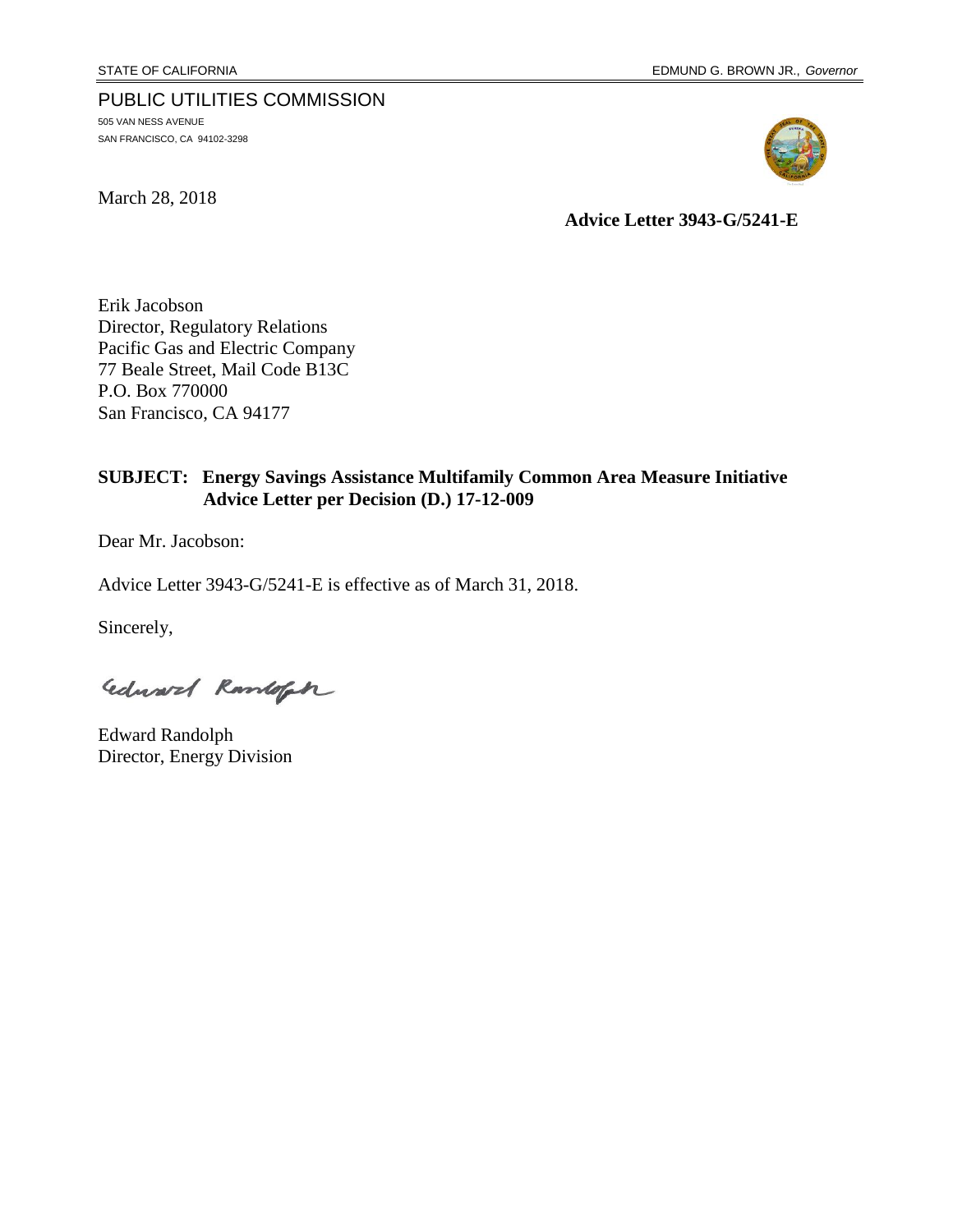#### PUBLIC UTILITIES COMMISSION

505 VAN NESS AVENUE SAN FRANCISCO, CA 94102-3298

March 28, 2018



**Advice Letter 3943-G/5241-E**

Erik Jacobson Director, Regulatory Relations Pacific Gas and Electric Company 77 Beale Street, Mail Code B13C P.O. Box 770000 San Francisco, CA 94177

#### **SUBJECT: Energy Savings Assistance Multifamily Common Area Measure Initiative Advice Letter per Decision (D.) 17-12-009**

Dear Mr. Jacobson:

Advice Letter 3943-G/5241-E is effective as of March 31, 2018.

Sincerely,

Edward Ramloft

Edward Randolph Director, Energy Division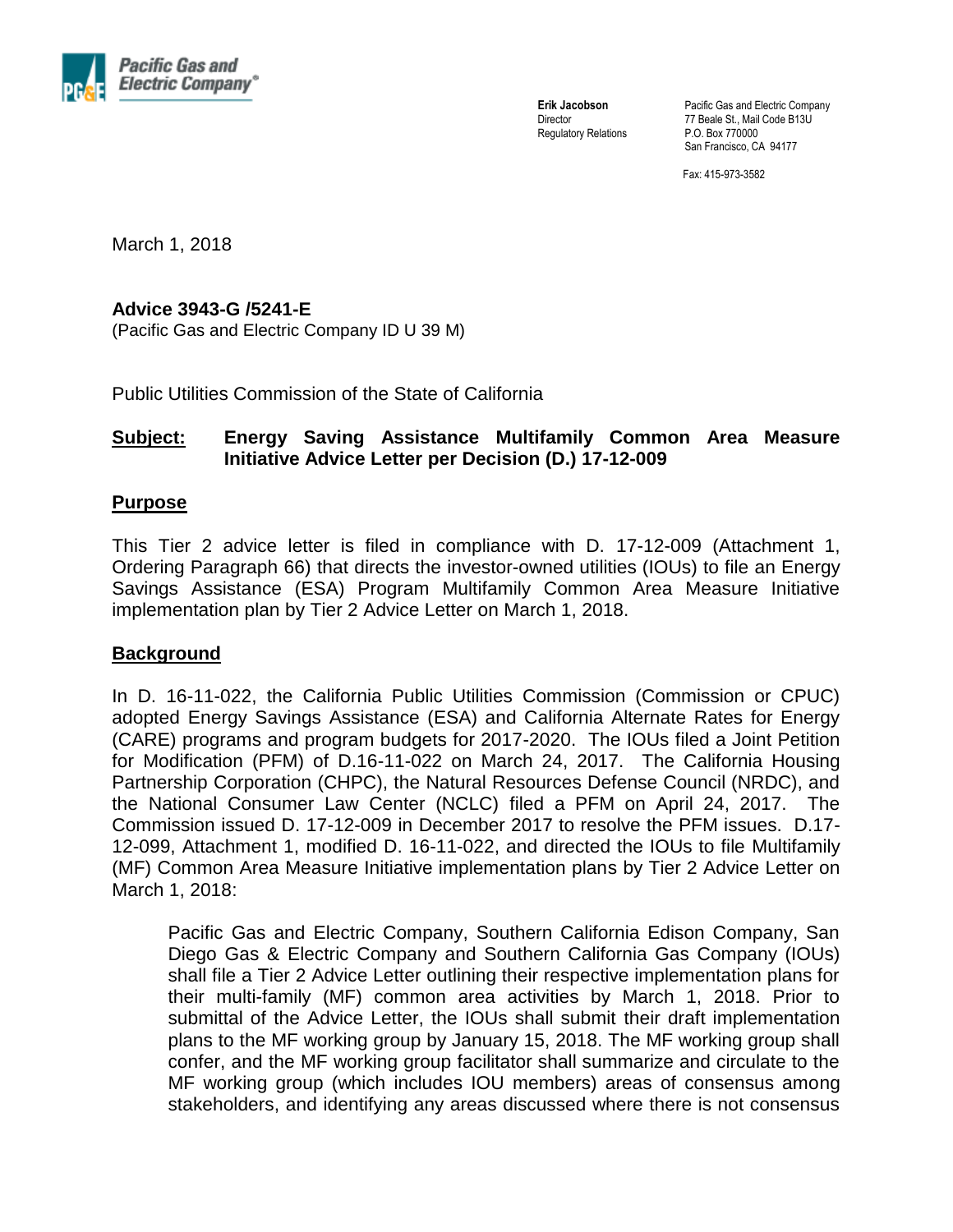

**Erik Jacobson Director** Regulatory Relations Pacific Gas and Electric Company 77 Beale St., Mail Code B13U P.O. Box 770000 San Francisco, CA 94177

Fax: 415-973-3582

March 1, 2018

#### **Advice 3943-G /5241-E**

(Pacific Gas and Electric Company ID U 39 M)

Public Utilities Commission of the State of California

#### **Subject: Energy Saving Assistance Multifamily Common Area Measure Initiative Advice Letter per Decision (D.) 17-12-009**

#### **Purpose**

This Tier 2 advice letter is filed in compliance with D. 17-12-009 (Attachment 1, Ordering Paragraph 66) that directs the investor-owned utilities (IOUs) to file an Energy Savings Assistance (ESA) Program Multifamily Common Area Measure Initiative implementation plan by Tier 2 Advice Letter on March 1, 2018.

#### **Background**

In D. 16-11-022, the California Public Utilities Commission (Commission or CPUC) adopted Energy Savings Assistance (ESA) and California Alternate Rates for Energy (CARE) programs and program budgets for 2017-2020. The IOUs filed a Joint Petition for Modification (PFM) of D.16-11-022 on March 24, 2017. The California Housing Partnership Corporation (CHPC), the Natural Resources Defense Council (NRDC), and the National Consumer Law Center (NCLC) filed a PFM on April 24, 2017. The Commission issued D. 17-12-009 in December 2017 to resolve the PFM issues. D.17- 12-099, Attachment 1, modified D. 16-11-022, and directed the IOUs to file Multifamily (MF) Common Area Measure Initiative implementation plans by Tier 2 Advice Letter on March 1, 2018:

Pacific Gas and Electric Company, Southern California Edison Company, San Diego Gas & Electric Company and Southern California Gas Company (IOUs) shall file a Tier 2 Advice Letter outlining their respective implementation plans for their multi-family (MF) common area activities by March 1, 2018. Prior to submittal of the Advice Letter, the IOUs shall submit their draft implementation plans to the MF working group by January 15, 2018. The MF working group shall confer, and the MF working group facilitator shall summarize and circulate to the MF working group (which includes IOU members) areas of consensus among stakeholders, and identifying any areas discussed where there is not consensus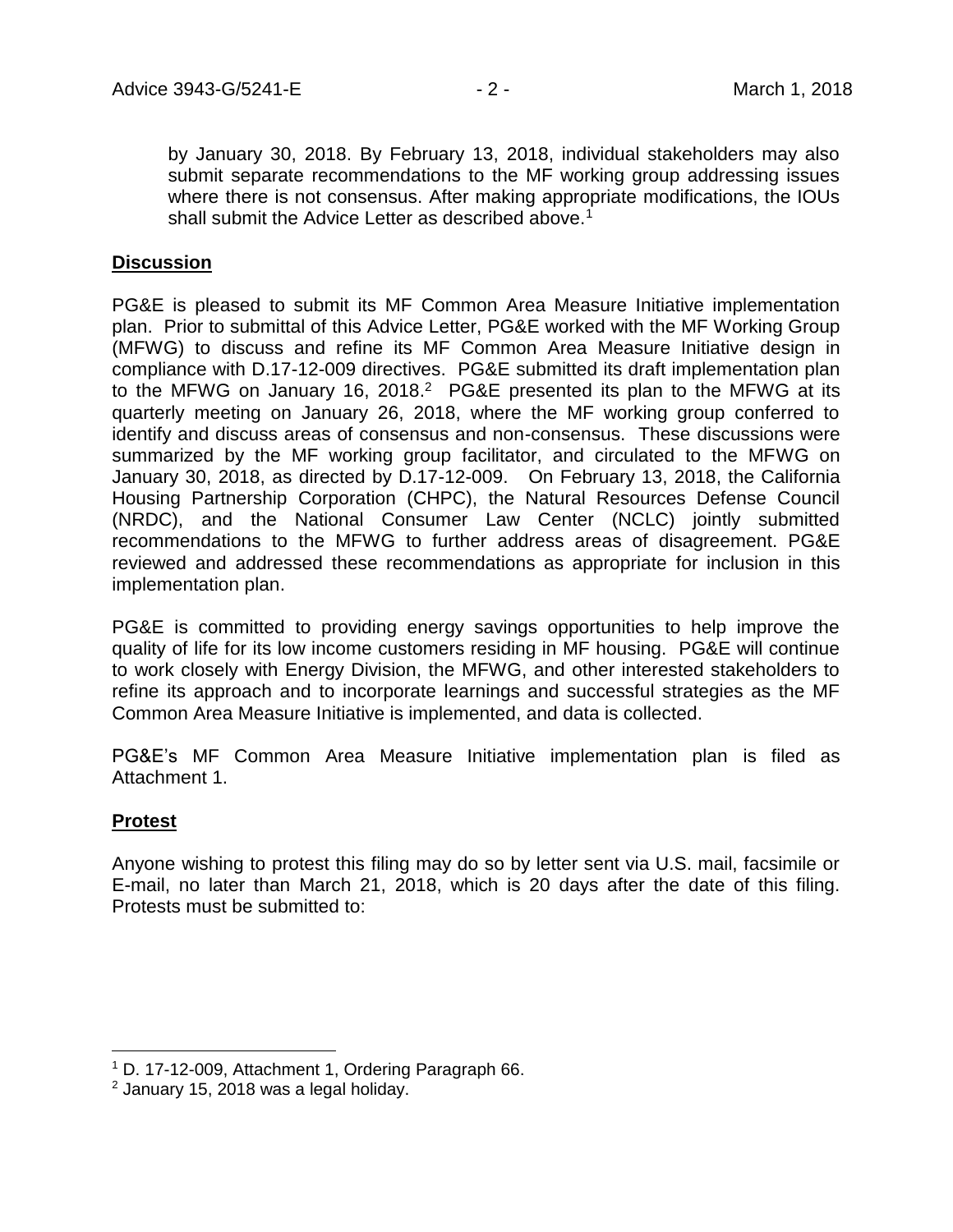by January 30, 2018. By February 13, 2018, individual stakeholders may also submit separate recommendations to the MF working group addressing issues where there is not consensus. After making appropriate modifications, the IOUs shall submit the Advice Letter as described above.<sup>1</sup>

#### **Discussion**

PG&E is pleased to submit its MF Common Area Measure Initiative implementation plan. Prior to submittal of this Advice Letter, PG&E worked with the MF Working Group (MFWG) to discuss and refine its MF Common Area Measure Initiative design in compliance with D.17-12-009 directives. PG&E submitted its draft implementation plan to the MFWG on January 16, 2018.<sup>2</sup> PG&E presented its plan to the MFWG at its quarterly meeting on January 26, 2018, where the MF working group conferred to identify and discuss areas of consensus and non-consensus. These discussions were summarized by the MF working group facilitator, and circulated to the MFWG on January 30, 2018, as directed by D.17-12-009. On February 13, 2018, the California Housing Partnership Corporation (CHPC), the Natural Resources Defense Council (NRDC), and the National Consumer Law Center (NCLC) jointly submitted recommendations to the MFWG to further address areas of disagreement. PG&E reviewed and addressed these recommendations as appropriate for inclusion in this implementation plan.

PG&E is committed to providing energy savings opportunities to help improve the quality of life for its low income customers residing in MF housing. PG&E will continue to work closely with Energy Division, the MFWG, and other interested stakeholders to refine its approach and to incorporate learnings and successful strategies as the MF Common Area Measure Initiative is implemented, and data is collected.

PG&E's MF Common Area Measure Initiative implementation plan is filed as Attachment 1.

#### **Protest**

 $\overline{a}$ 

Anyone wishing to protest this filing may do so by letter sent via U.S. mail, facsimile or E-mail, no later than March 21, 2018, which is 20 days after the date of this filing. Protests must be submitted to:

<sup>1</sup> D. 17-12-009, Attachment 1, Ordering Paragraph 66.

 $2$  January 15, 2018 was a legal holiday.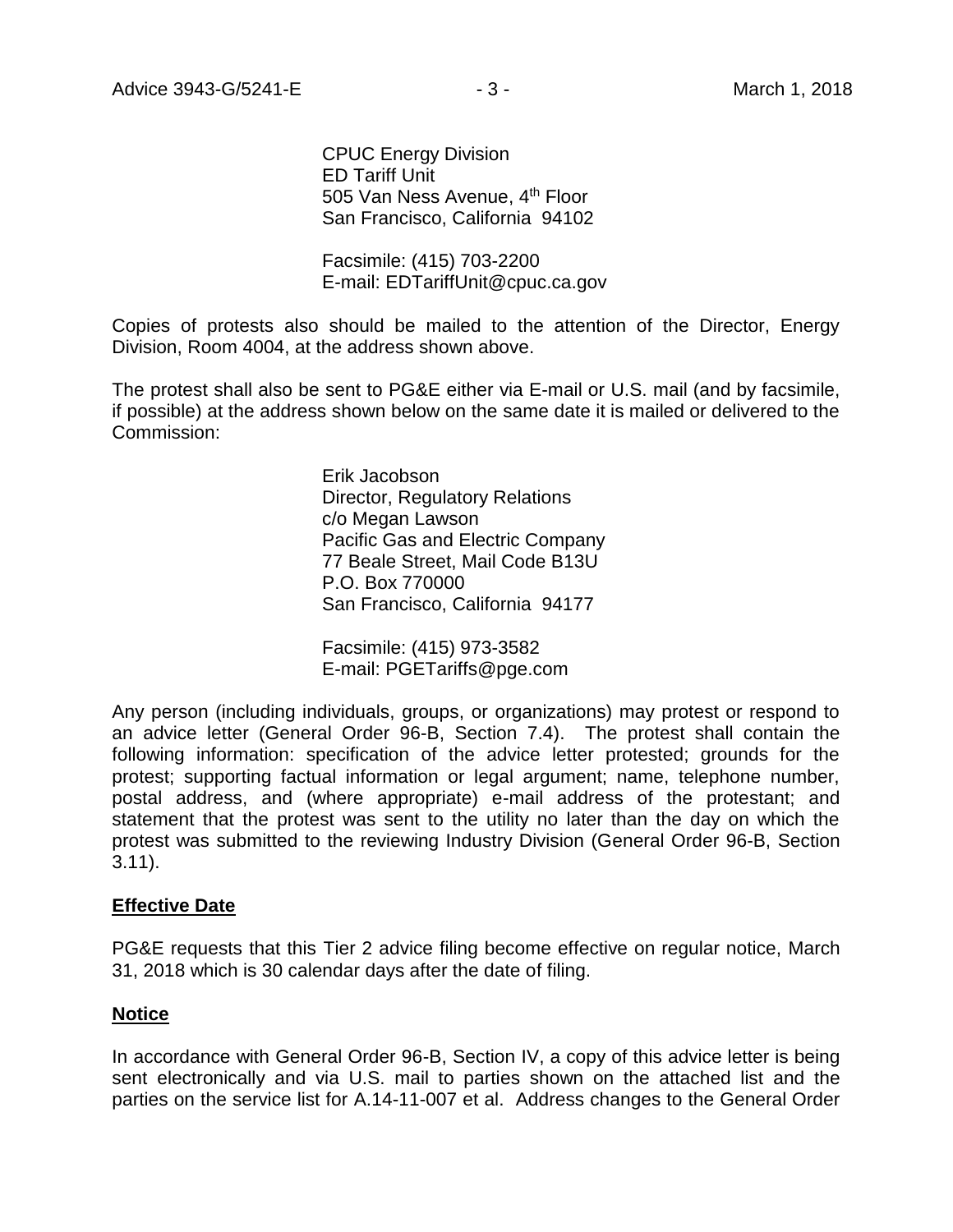CPUC Energy Division ED Tariff Unit 505 Van Ness Avenue, 4<sup>th</sup> Floor San Francisco, California 94102

Facsimile: (415) 703-2200 E-mail: EDTariffUnit@cpuc.ca.gov

Copies of protests also should be mailed to the attention of the Director, Energy Division, Room 4004, at the address shown above.

The protest shall also be sent to PG&E either via E-mail or U.S. mail (and by facsimile, if possible) at the address shown below on the same date it is mailed or delivered to the Commission:

> Erik Jacobson Director, Regulatory Relations c/o Megan Lawson Pacific Gas and Electric Company 77 Beale Street, Mail Code B13U P.O. Box 770000 San Francisco, California 94177

Facsimile: (415) 973-3582 E-mail: PGETariffs@pge.com

Any person (including individuals, groups, or organizations) may protest or respond to an advice letter (General Order 96-B, Section 7.4). The protest shall contain the following information: specification of the advice letter protested; grounds for the protest; supporting factual information or legal argument; name, telephone number, postal address, and (where appropriate) e-mail address of the protestant; and statement that the protest was sent to the utility no later than the day on which the protest was submitted to the reviewing Industry Division (General Order 96-B, Section 3.11).

#### **Effective Date**

PG&E requests that this Tier 2 advice filing become effective on regular notice, March 31, 2018 which is 30 calendar days after the date of filing.

#### **Notice**

In accordance with General Order 96-B, Section IV, a copy of this advice letter is being sent electronically and via U.S. mail to parties shown on the attached list and the parties on the service list for A.14-11-007 et al. Address changes to the General Order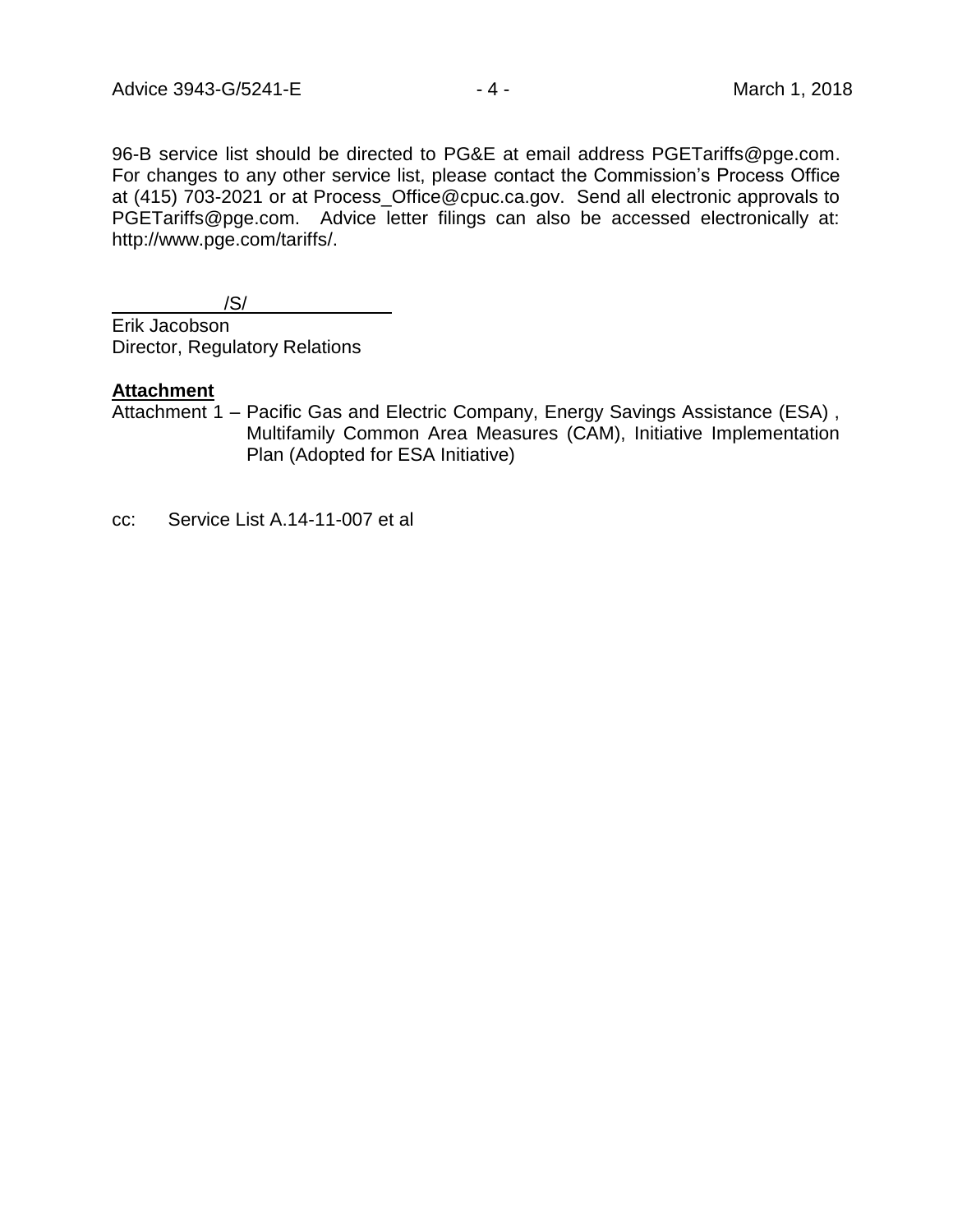96-B service list should be directed to PG&E at email address PGETariffs@pge.com. For changes to any other service list, please contact the Commission's Process Office at (415) 703-2021 or at Process\_Office@cpuc.ca.gov. Send all electronic approvals to PGETariffs@pge.com. Advice letter filings can also be accessed electronically at: http://www.pge.com/tariffs/.

/S/

Erik Jacobson Director, Regulatory Relations

#### **Attachment**

Attachment 1 – Pacific Gas and Electric Company, Energy Savings Assistance (ESA) , Multifamily Common Area Measures (CAM), Initiative Implementation Plan (Adopted for ESA Initiative)

cc: Service List A.14-11-007 et al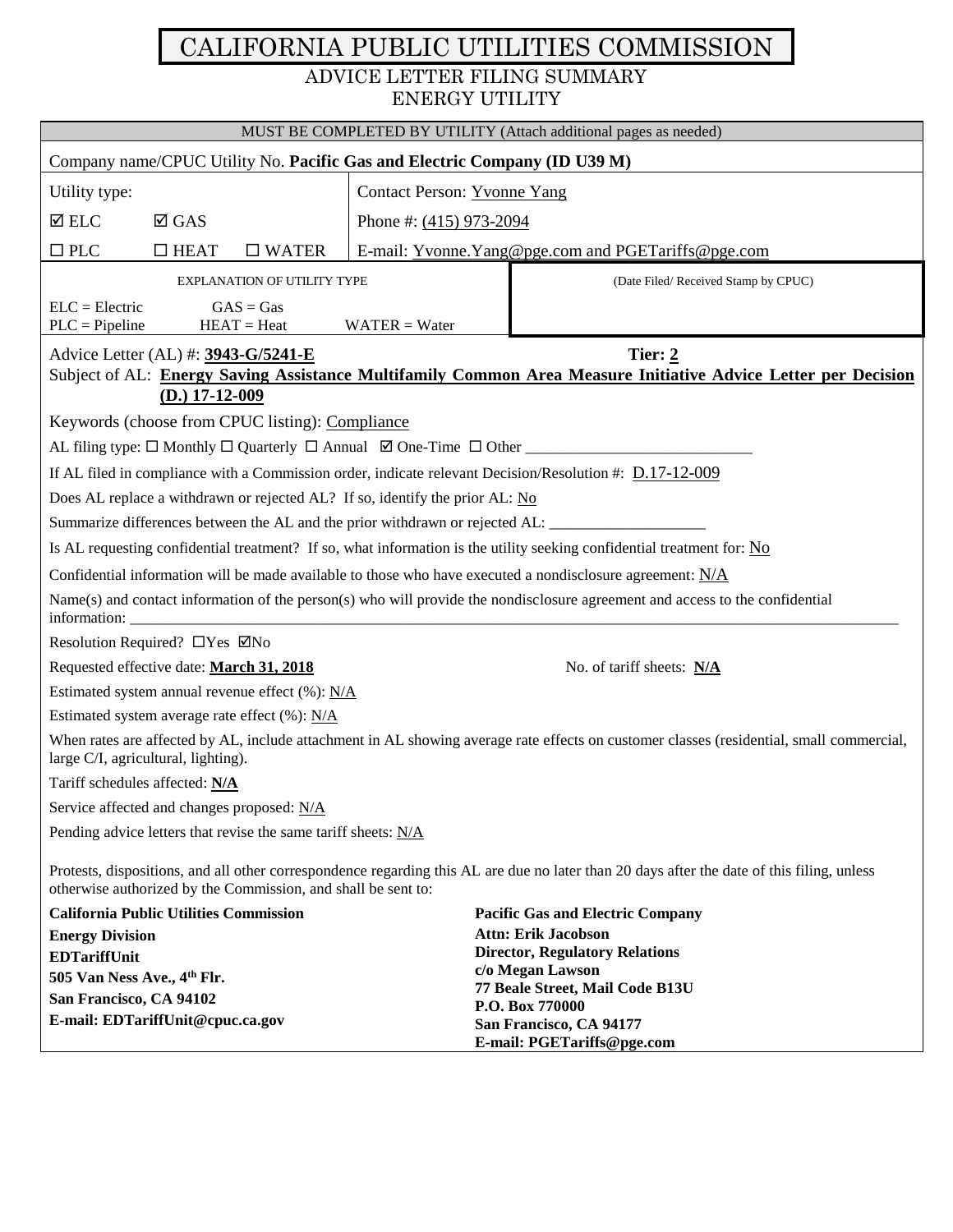# CALIFORNIA PUBLIC UTILITIES COMMISSION ADVICE LETTER FILING SUMMARY ENERGY UTILITY

| MUST BE COMPLETED BY UTILITY (Attach additional pages as needed)                                                                                                                                            |                           |                                                                                                                                          |  |  |  |
|-------------------------------------------------------------------------------------------------------------------------------------------------------------------------------------------------------------|---------------------------|------------------------------------------------------------------------------------------------------------------------------------------|--|--|--|
| Company name/CPUC Utility No. Pacific Gas and Electric Company (ID U39 M)                                                                                                                                   |                           |                                                                                                                                          |  |  |  |
| Contact Person: Yvonne Yang<br>Utility type:                                                                                                                                                                |                           |                                                                                                                                          |  |  |  |
| $\Delta$ ELC<br>$\boxtimes$ GAS                                                                                                                                                                             | Phone #: $(415)$ 973-2094 |                                                                                                                                          |  |  |  |
| $\square$ PLC<br>$\Box$ HEAT<br>$\square$ WATER                                                                                                                                                             |                           | E-mail: Yvonne. Yang@pge.com and PGETariffs@pge.com                                                                                      |  |  |  |
|                                                                                                                                                                                                             |                           |                                                                                                                                          |  |  |  |
| <b>EXPLANATION OF UTILITY TYPE</b>                                                                                                                                                                          |                           | (Date Filed/Received Stamp by CPUC)                                                                                                      |  |  |  |
| $ELC = Electric$<br>$GAS = Gas$<br>$HEAT = Heat$<br>$PLC = Pipeline$                                                                                                                                        | $WATER = Water$           |                                                                                                                                          |  |  |  |
| Advice Letter (AL) #: 3943-G/5241-E                                                                                                                                                                         |                           | Tier: $2$                                                                                                                                |  |  |  |
|                                                                                                                                                                                                             |                           | Subject of AL: Energy Saving Assistance Multifamily Common Area Measure Initiative Advice Letter per Decision                            |  |  |  |
| $(D.)$ 17-12-009                                                                                                                                                                                            |                           |                                                                                                                                          |  |  |  |
| Keywords (choose from CPUC listing): Compliance                                                                                                                                                             |                           |                                                                                                                                          |  |  |  |
|                                                                                                                                                                                                             |                           |                                                                                                                                          |  |  |  |
| If AL filed in compliance with a Commission order, indicate relevant Decision/Resolution #: D.17-12-009                                                                                                     |                           |                                                                                                                                          |  |  |  |
| Does AL replace a withdrawn or rejected AL? If so, identify the prior AL: No                                                                                                                                |                           |                                                                                                                                          |  |  |  |
| Summarize differences between the AL and the prior withdrawn or rejected AL: ______________________                                                                                                         |                           |                                                                                                                                          |  |  |  |
| Is AL requesting confidential treatment? If so, what information is the utility seeking confidential treatment for: No                                                                                      |                           |                                                                                                                                          |  |  |  |
| Confidential information will be made available to those who have executed a nondisclosure agreement: $N/A$                                                                                                 |                           |                                                                                                                                          |  |  |  |
|                                                                                                                                                                                                             |                           | $Name(s)$ and contact information of the person(s) who will provide the nondisclosure agreement and access to the confidential           |  |  |  |
| Resolution Required? □ Yes ☑ No                                                                                                                                                                             |                           |                                                                                                                                          |  |  |  |
| Requested effective date: March 31, 2018                                                                                                                                                                    |                           | No. of tariff sheets: N/A                                                                                                                |  |  |  |
| Estimated system annual revenue effect (%): N/A                                                                                                                                                             |                           |                                                                                                                                          |  |  |  |
| Estimated system average rate effect (%): N/A                                                                                                                                                               |                           |                                                                                                                                          |  |  |  |
| large C/I, agricultural, lighting).                                                                                                                                                                         |                           | When rates are affected by AL, include attachment in AL showing average rate effects on customer classes (residential, small commercial, |  |  |  |
| Tariff schedules affected: N/A                                                                                                                                                                              |                           |                                                                                                                                          |  |  |  |
| Service affected and changes proposed: N/A                                                                                                                                                                  |                           |                                                                                                                                          |  |  |  |
| Pending advice letters that revise the same tariff sheets: N/A                                                                                                                                              |                           |                                                                                                                                          |  |  |  |
| Protests, dispositions, and all other correspondence regarding this AL are due no later than 20 days after the date of this filing, unless<br>otherwise authorized by the Commission, and shall be sent to: |                           |                                                                                                                                          |  |  |  |
| <b>California Public Utilities Commission</b><br><b>Pacific Gas and Electric Company</b>                                                                                                                    |                           |                                                                                                                                          |  |  |  |
| <b>Attn: Erik Jacobson</b><br><b>Energy Division</b>                                                                                                                                                        |                           |                                                                                                                                          |  |  |  |
| <b>EDTariffUnit</b>                                                                                                                                                                                         |                           | <b>Director, Regulatory Relations</b><br>c/o Megan Lawson                                                                                |  |  |  |
| 505 Van Ness Ave., 4th Flr.<br>77 Beale Street, Mail Code B13U<br>San Francisco, CA 94102                                                                                                                   |                           |                                                                                                                                          |  |  |  |
| P.O. Box 770000<br>E-mail: EDTariffUnit@cpuc.ca.gov                                                                                                                                                         |                           |                                                                                                                                          |  |  |  |
| San Francisco, CA 94177<br>E-mail: PGETariffs@pge.com                                                                                                                                                       |                           |                                                                                                                                          |  |  |  |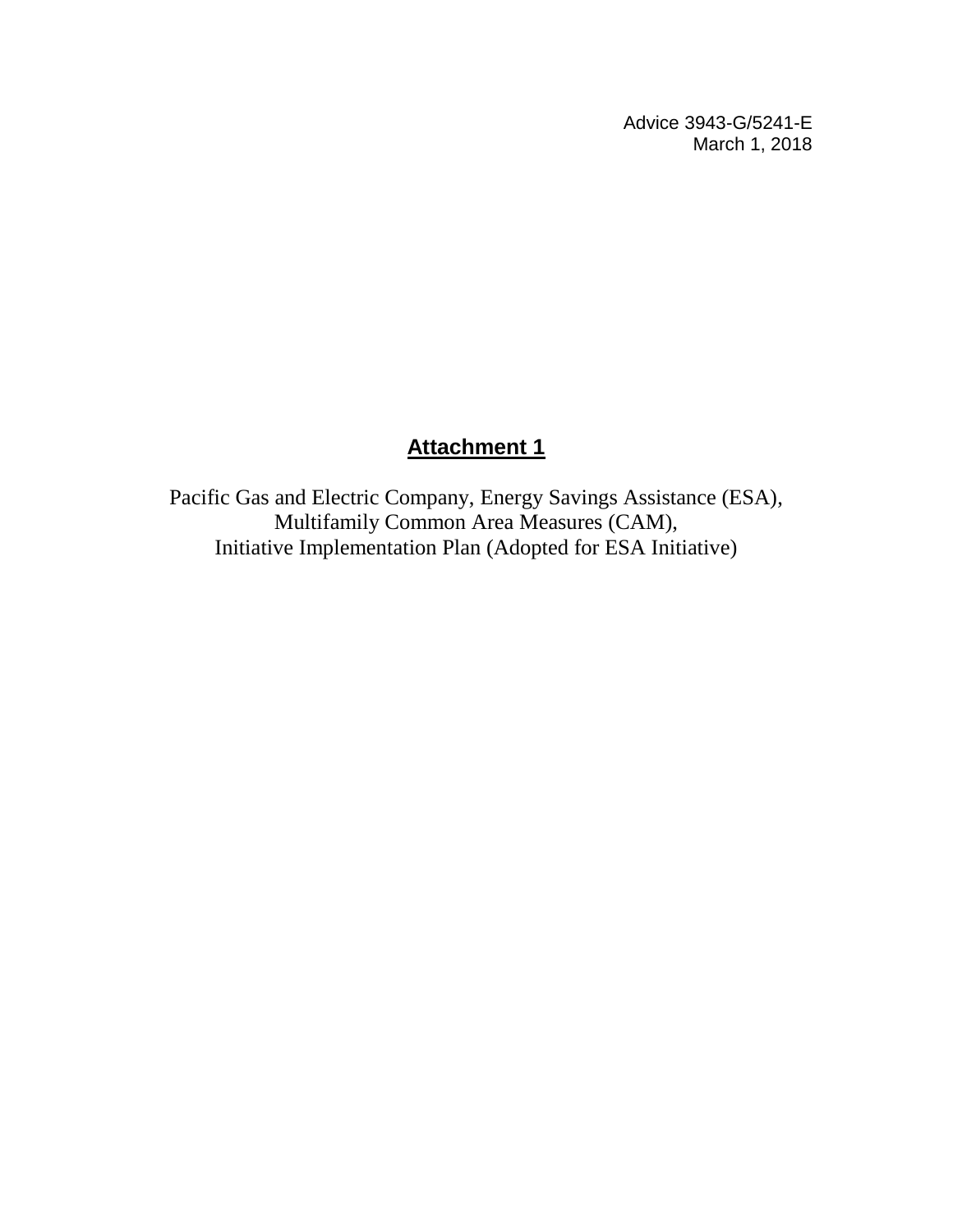Advice 3943-G/5241-E March 1, 2018

# **Attachment 1**

Pacific Gas and Electric Company, Energy Savings Assistance (ESA), Multifamily Common Area Measures (CAM), Initiative Implementation Plan (Adopted for ESA Initiative)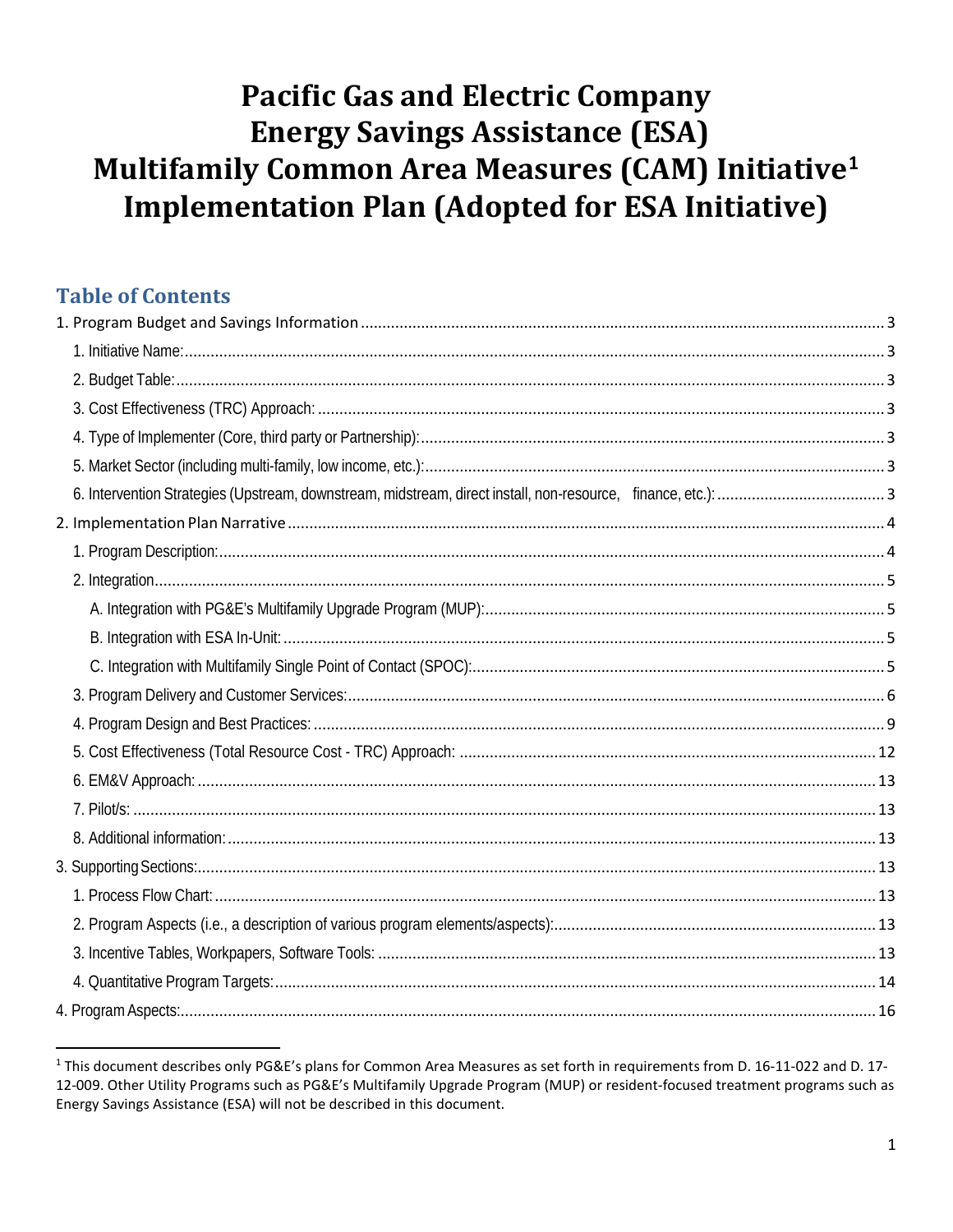# **Pacific Gas and Electric Company Energy Savings Assistance (ESA)** Multifamily Common Area Measures (CAM) Initiative<sup>1</sup> **Implementation Plan (Adopted for ESA Initiative)**

# **Table of Contents**

<sup>&</sup>lt;sup>1</sup> This document describes only PG&E's plans for Common Area Measures as set forth in requirements from D. 16-11-022 and D. 17-12-009. Other Utility Programs such as PG&E's Multifamily Upgrade Program (MUP) or resident-focused treatment programs such as Energy Savings Assistance (ESA) will not be described in this document.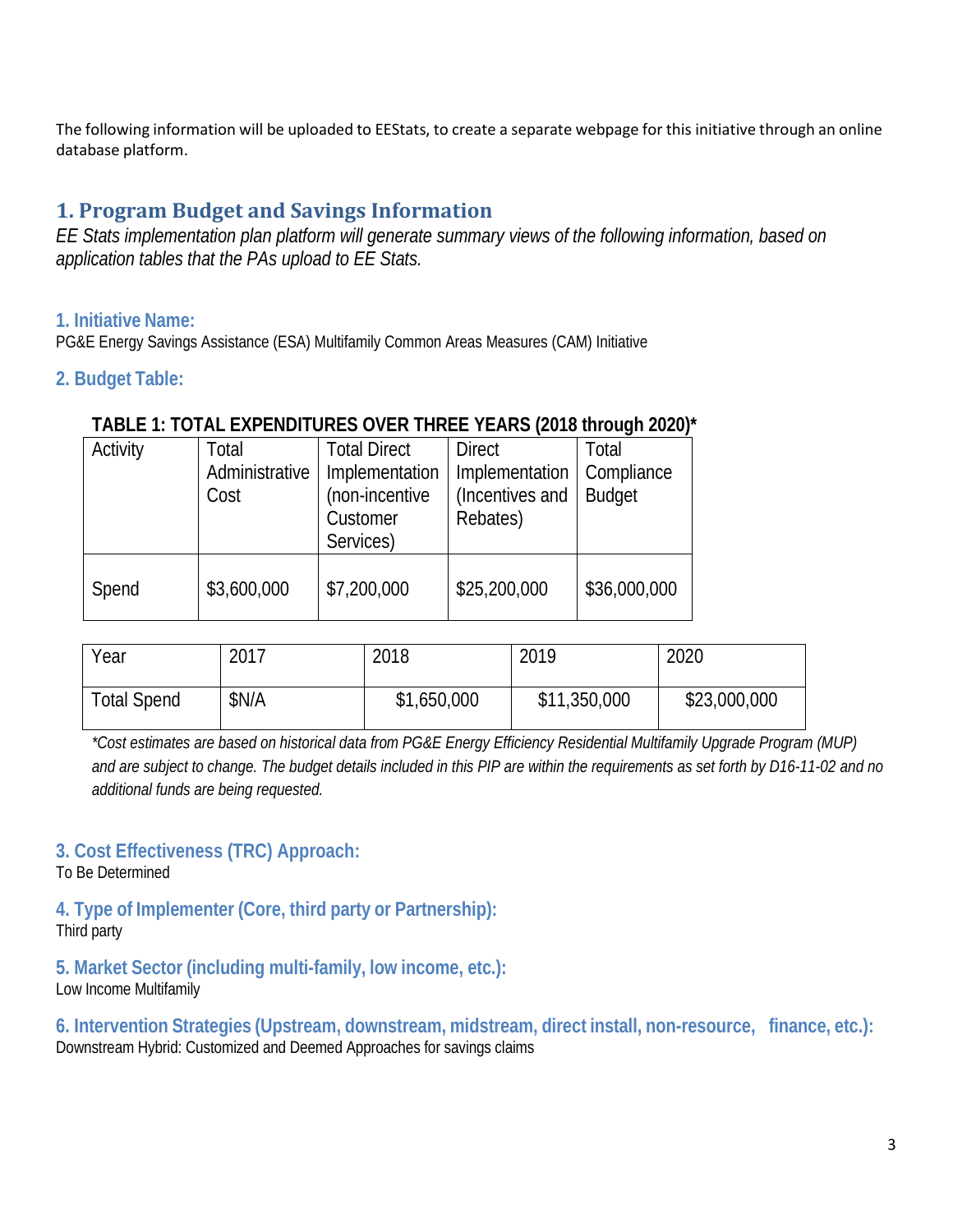The following information will be uploaded to EEStats, to create a separate webpage for this initiative through an online database platform.

# **1. Program Budget and Savings Information**

*EE Stats implementation plan platform will generate summary views of the following information, based on application tables that the PAs upload to EE Stats.*

## **1. Initiative Name:**

PG&E Energy Savings Assistance (ESA) Multifamily Common Areas Measures (CAM) Initiative

## **2. Budget Table:**

## **TABLE 1: TOTAL EXPENDITURES OVER THREE YEARS (2018 through 2020)\***

| Activity | Total          | <b>Total Direct</b> | <b>Direct</b>   | Total         |
|----------|----------------|---------------------|-----------------|---------------|
|          | Administrative | Implementation      | Implementation  | Compliance    |
|          | Cost           | (non-incentive      | (Incentives and | <b>Budget</b> |
|          |                | Customer            | Rebates)        |               |
|          |                | Services)           |                 |               |
|          |                |                     |                 |               |
| Spend    | \$3,600,000    | \$7,200,000         | \$25,200,000    | \$36,000,000  |
|          |                |                     |                 |               |

| Year               | 2017  | 2018        | 2019         | 2020         |
|--------------------|-------|-------------|--------------|--------------|
| <b>Total Spend</b> | \$N/A | \$1,650,000 | \$11,350,000 | \$23,000,000 |

*\*Cost estimates are based on historical data from PG&E Energy Efficiency Residential Multifamily Upgrade Program (MUP) and are subject to change. The budget details included in this PIP are within the requirements as set forth by D16-11-02 and no additional funds are being requested.* 

# **3. Cost Effectiveness (TRC) Approach:**

To Be Determined

**4. Type of Implementer (Core, third party or Partnership):**  Third party

**5. Market Sector (including multi-family, low income, etc.):**  Low Income Multifamily

**6. Intervention Strategies (Upstream, downstream, midstream, direct install, non-resource, finance, etc.):** Downstream Hybrid: Customized and Deemed Approaches for savings claims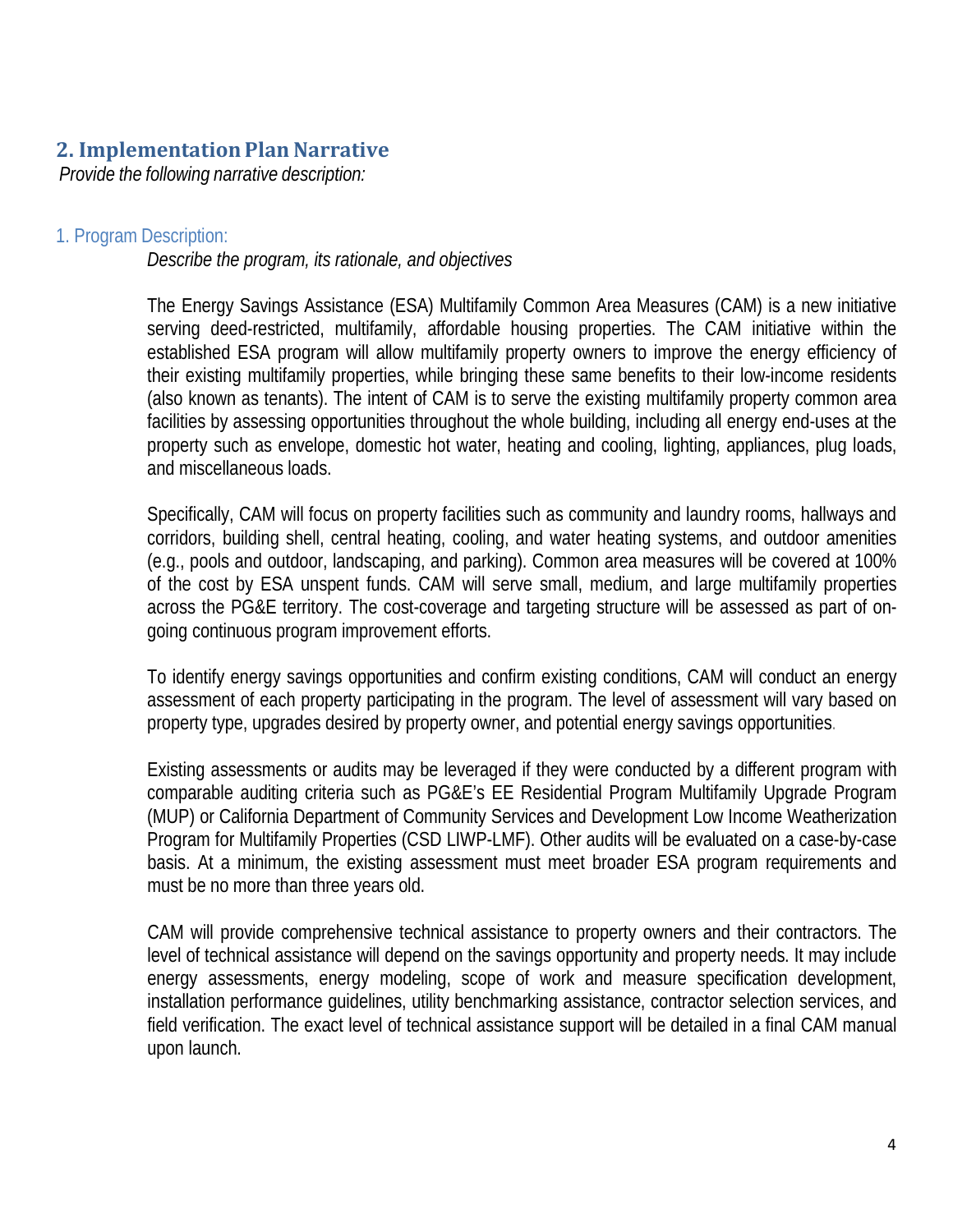# **2. Implementation Plan Narrative**

*Provide the following narrative description:*

#### 1. Program Description:

*Describe the program, its rationale, and objectives*

The Energy Savings Assistance (ESA) Multifamily Common Area Measures (CAM) is a new initiative serving deed-restricted, multifamily, affordable housing properties. The CAM initiative within the established ESA program will allow multifamily property owners to improve the energy efficiency of their existing multifamily properties, while bringing these same benefits to their low-income residents (also known as tenants). The intent of CAM is to serve the existing multifamily property common area facilities by assessing opportunities throughout the whole building, including all energy end-uses at the property such as envelope, domestic hot water, heating and cooling, lighting, appliances, plug loads, and miscellaneous loads.

Specifically, CAM will focus on property facilities such as community and laundry rooms, hallways and corridors, building shell, central heating, cooling, and water heating systems, and outdoor amenities (e.g., pools and outdoor, landscaping, and parking). Common area measures will be covered at 100% of the cost by ESA unspent funds. CAM will serve small, medium, and large multifamily properties across the PG&E territory. The cost-coverage and targeting structure will be assessed as part of ongoing continuous program improvement efforts.

To identify energy savings opportunities and confirm existing conditions, CAM will conduct an energy assessment of each property participating in the program. The level of assessment will vary based on property type, upgrades desired by property owner, and potential energy savings opportunities.

Existing assessments or audits may be leveraged if they were conducted by a different program with comparable auditing criteria such as PG&E's EE Residential Program Multifamily Upgrade Program (MUP) or California Department of Community Services and Development Low Income Weatherization Program for Multifamily Properties (CSD LIWP-LMF). Other audits will be evaluated on a case-by-case basis. At a minimum, the existing assessment must meet broader ESA program requirements and must be no more than three years old.

CAM will provide comprehensive technical assistance to property owners and their contractors. The level of technical assistance will depend on the savings opportunity and property needs. It may include energy assessments, energy modeling, scope of work and measure specification development, installation performance guidelines, utility benchmarking assistance, contractor selection services, and field verification. The exact level of technical assistance support will be detailed in a final CAM manual upon launch.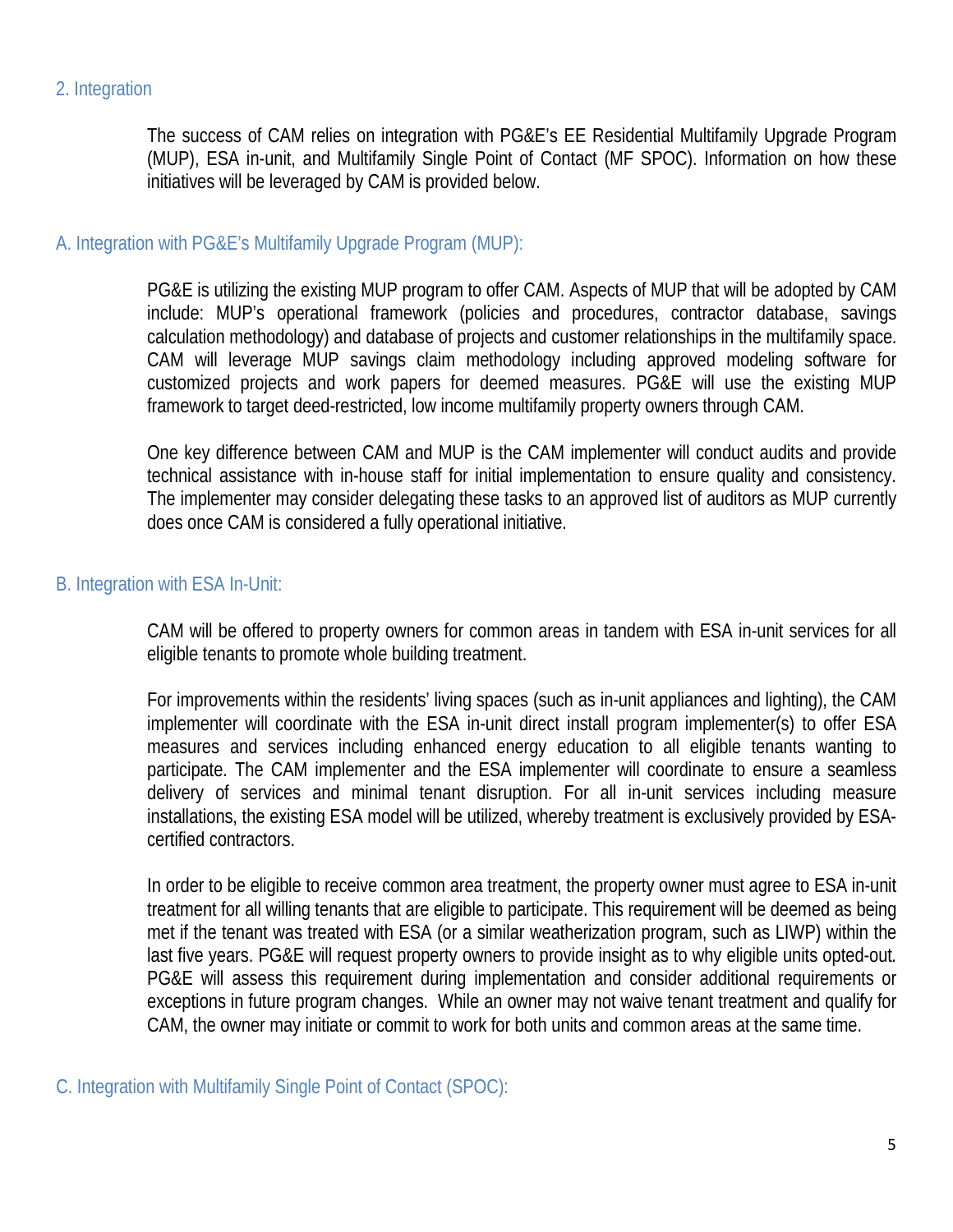## 2. Integration

The success of CAM relies on integration with PG&E's EE Residential Multifamily Upgrade Program (MUP), ESA in-unit, and Multifamily Single Point of Contact (MF SPOC). Information on how these initiatives will be leveraged by CAM is provided below.

#### A. Integration with PG&E's Multifamily Upgrade Program (MUP):

PG&E is utilizing the existing MUP program to offer CAM. Aspects of MUP that will be adopted by CAM include: MUP's operational framework (policies and procedures, contractor database, savings calculation methodology) and database of projects and customer relationships in the multifamily space. CAM will leverage MUP savings claim methodology including approved modeling software for customized projects and work papers for deemed measures. PG&E will use the existing MUP framework to target deed-restricted, low income multifamily property owners through CAM.

One key difference between CAM and MUP is the CAM implementer will conduct audits and provide technical assistance with in-house staff for initial implementation to ensure quality and consistency. The implementer may consider delegating these tasks to an approved list of auditors as MUP currently does once CAM is considered a fully operational initiative.

#### B. Integration with ESA In-Unit:

CAM will be offered to property owners for common areas in tandem with ESA in-unit services for all eligible tenants to promote whole building treatment.

For improvements within the residents' living spaces (such as in-unit appliances and lighting), the CAM implementer will coordinate with the ESA in-unit direct install program implementer(s) to offer ESA measures and services including enhanced energy education to all eligible tenants wanting to participate. The CAM implementer and the ESA implementer will coordinate to ensure a seamless delivery of services and minimal tenant disruption. For all in-unit services including measure installations, the existing ESA model will be utilized, whereby treatment is exclusively provided by ESAcertified contractors.

In order to be eligible to receive common area treatment, the property owner must agree to ESA in-unit treatment for all willing tenants that are eligible to participate. This requirement will be deemed as being met if the tenant was treated with ESA (or a similar weatherization program, such as LIWP) within the last five years. PG&E will request property owners to provide insight as to why eligible units opted-out. PG&E will assess this requirement during implementation and consider additional requirements or exceptions in future program changes. While an owner may not waive tenant treatment and qualify for CAM, the owner may initiate or commit to work for both units and common areas at the same time.

C. Integration with Multifamily Single Point of Contact (SPOC):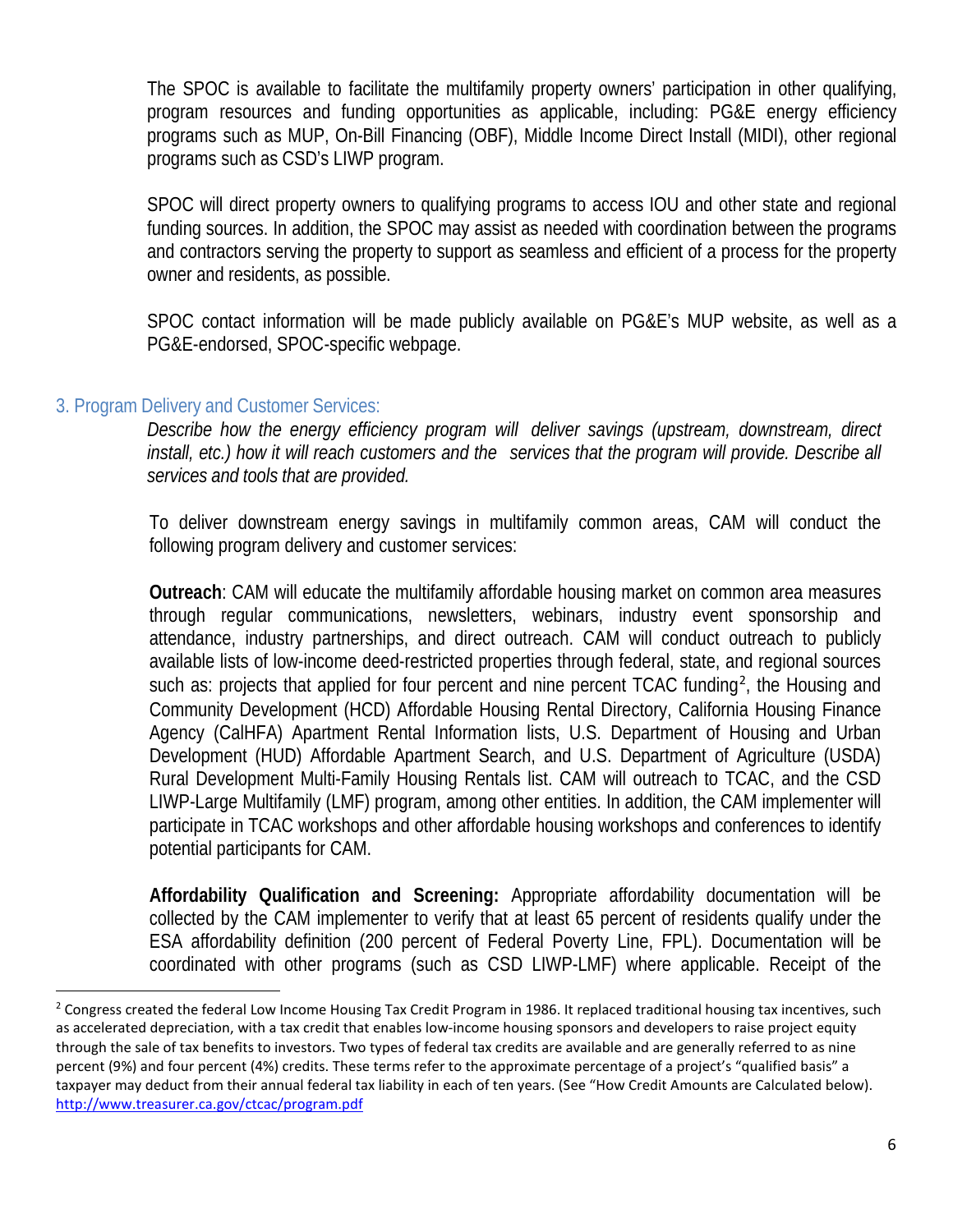The SPOC is available to facilitate the multifamily property owners' participation in other qualifying, program resources and funding opportunities as applicable, including: PG&E energy efficiency programs such as MUP, On-Bill Financing (OBF), Middle Income Direct Install (MIDI), other regional programs such as CSD's LIWP program.

SPOC will direct property owners to qualifying programs to access IOU and other state and regional funding sources. In addition, the SPOC may assist as needed with coordination between the programs and contractors serving the property to support as seamless and efficient of a process for the property owner and residents, as possible.

SPOC contact information will be made publicly available on PG&E's MUP website, as well as a PG&E-endorsed, SPOC-specific webpage.

#### 3. Program Delivery and Customer Services:

*Describe how the energy efficiency program will deliver savings (upstream, downstream, direct install, etc.) how it will reach customers and the services that the program will provide. Describe all services and tools that are provided.*

To deliver downstream energy savings in multifamily common areas, CAM will conduct the following program delivery and customer services:

**Outreach**: CAM will educate the multifamily affordable housing market on common area measures through regular communications, newsletters, webinars, industry event sponsorship and attendance, industry partnerships, and direct outreach. CAM will conduct outreach to publicly available lists of low-income deed-restricted properties through federal, state, and regional sources such as: projects that applied for four percent and nine percent TCAC funding<sup>2</sup>, the Housing and Community Development (HCD) Affordable Housing Rental Directory, California Housing Finance Agency (CalHFA) Apartment Rental Information lists, U.S. Department of Housing and Urban Development (HUD) Affordable Apartment Search, and U.S. Department of Agriculture (USDA) Rural Development Multi-Family Housing Rentals list. CAM will outreach to TCAC, and the CSD LIWP-Large Multifamily (LMF) program, among other entities. In addition, the CAM implementer will participate in TCAC workshops and other affordable housing workshops and conferences to identify potential participants for CAM.

**Affordability Qualification and Screening:** Appropriate affordability documentation will be collected by the CAM implementer to verify that at least 65 percent of residents qualify under the ESA affordability definition (200 percent of Federal Poverty Line, FPL). Documentation will be coordinated with other programs (such as CSD LIWP-LMF) where applicable. Receipt of the

<sup>&</sup>lt;sup>2</sup> Congress created the federal Low Income Housing Tax Credit Program in 1986. It replaced traditional housing tax incentives, such as accelerated depreciation, with a tax credit that enables low-income housing sponsors and developers to raise project equity through the sale of tax benefits to investors. Two types of federal tax credits are available and are generally referred to as nine percent (9%) and four percent (4%) credits. These terms refer to the approximate percentage of a project's "qualified basis" a taxpayer may deduct from their annual federal tax liability in each of ten years. (See "How Credit Amounts are Calculated below). http://www.treasurer.ca.gov/ctcac/program.pdf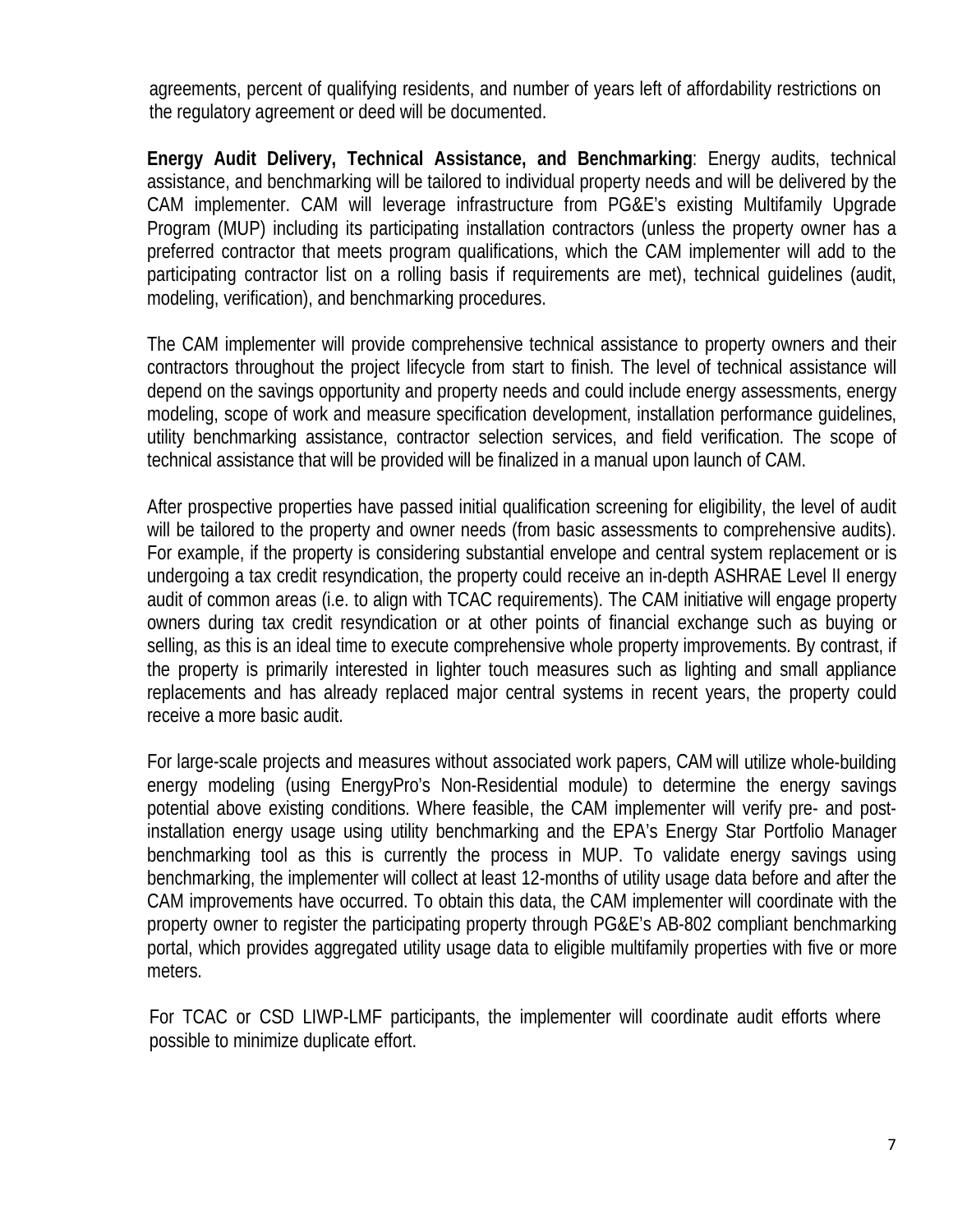agreements, percent of qualifying residents, and number of years left of affordability restrictions on the regulatory agreement or deed will be documented.

**Energy Audit Delivery, Technical Assistance, and Benchmarking**: Energy audits, technical assistance, and benchmarking will be tailored to individual property needs and will be delivered by the CAM implementer. CAM will leverage infrastructure from PG&E's existing Multifamily Upgrade Program (MUP) including its participating installation contractors (unless the property owner has a preferred contractor that meets program qualifications, which the CAM implementer will add to the participating contractor list on a rolling basis if requirements are met), technical guidelines (audit, modeling, verification), and benchmarking procedures.

The CAM implementer will provide comprehensive technical assistance to property owners and their contractors throughout the project lifecycle from start to finish. The level of technical assistance will depend on the savings opportunity and property needs and could include energy assessments, energy modeling, scope of work and measure specification development, installation performance guidelines, utility benchmarking assistance, contractor selection services, and field verification. The scope of technical assistance that will be provided will be finalized in a manual upon launch of CAM.

After prospective properties have passed initial qualification screening for eligibility, the level of audit will be tailored to the property and owner needs (from basic assessments to comprehensive audits). For example, if the property is considering substantial envelope and central system replacement or is undergoing a tax credit resyndication, the property could receive an in-depth ASHRAE Level II energy audit of common areas (i.e. to align with TCAC requirements). The CAM initiative will engage property owners during tax credit resyndication or at other points of financial exchange such as buying or selling, as this is an ideal time to execute comprehensive whole property improvements. By contrast, if the property is primarily interested in lighter touch measures such as lighting and small appliance replacements and has already replaced major central systems in recent years, the property could receive a more basic audit.

For large-scale projects and measures without associated work papers, CAM will utilize whole-building energy modeling (using EnergyPro's Non-Residential module) to determine the energy savings potential above existing conditions. Where feasible, the CAM implementer will verify pre- and postinstallation energy usage using utility benchmarking and the EPA's Energy Star Portfolio Manager benchmarking tool as this is currently the process in MUP. To validate energy savings using benchmarking, the implementer will collect at least 12-months of utility usage data before and after the CAM improvements have occurred. To obtain this data, the CAM implementer will coordinate with the property owner to register the participating property through PG&E's AB-802 compliant benchmarking portal, which provides aggregated utility usage data to eligible multifamily properties with five or more meters.

For TCAC or CSD LIWP-LMF participants, the implementer will coordinate audit efforts where possible to minimize duplicate effort.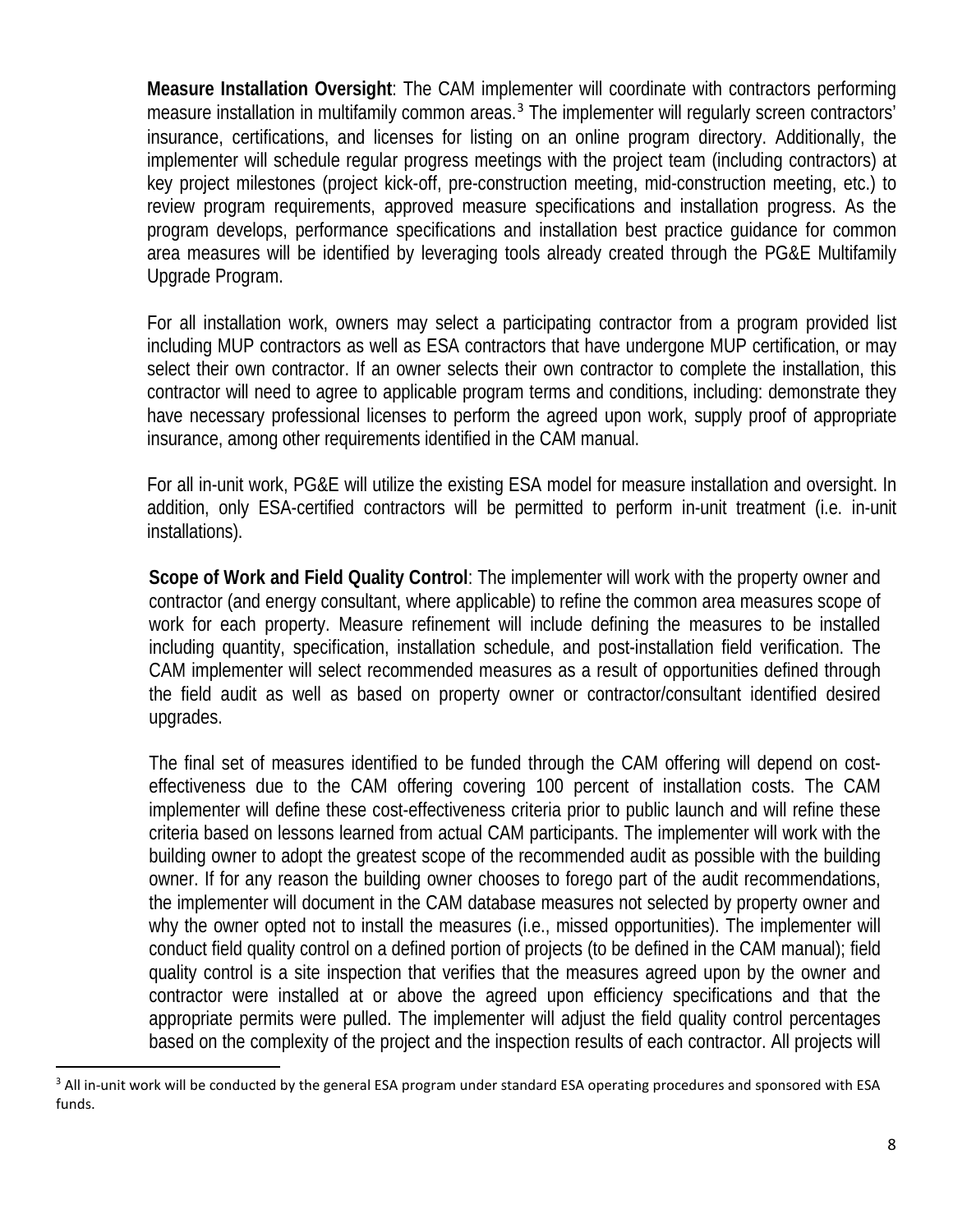**Measure Installation Oversight**: The CAM implementer will coordinate with contractors performing measure installation in multifamily common areas.<sup>3</sup> The implementer will regularly screen contractors' insurance, certifications, and licenses for listing on an online program directory. Additionally, the implementer will schedule regular progress meetings with the project team (including contractors) at key project milestones (project kick-off, pre-construction meeting, mid-construction meeting, etc.) to review program requirements, approved measure specifications and installation progress. As the program develops, performance specifications and installation best practice guidance for common area measures will be identified by leveraging tools already created through the PG&E Multifamily Upgrade Program.

For all installation work, owners may select a participating contractor from a program provided list including MUP contractors as well as ESA contractors that have undergone MUP certification, or may select their own contractor. If an owner selects their own contractor to complete the installation, this contractor will need to agree to applicable program terms and conditions, including: demonstrate they have necessary professional licenses to perform the agreed upon work, supply proof of appropriate insurance, among other requirements identified in the CAM manual.

For all in-unit work, PG&E will utilize the existing ESA model for measure installation and oversight. In addition, only ESA-certified contractors will be permitted to perform in-unit treatment (i.e. in-unit installations).

**Scope of Work and Field Quality Control**: The implementer will work with the property owner and contractor (and energy consultant, where applicable) to refine the common area measures scope of work for each property. Measure refinement will include defining the measures to be installed including quantity, specification, installation schedule, and post-installation field verification. The CAM implementer will select recommended measures as a result of opportunities defined through the field audit as well as based on property owner or contractor/consultant identified desired upgrades.

The final set of measures identified to be funded through the CAM offering will depend on costeffectiveness due to the CAM offering covering 100 percent of installation costs. The CAM implementer will define these cost-effectiveness criteria prior to public launch and will refine these criteria based on lessons learned from actual CAM participants. The implementer will work with the building owner to adopt the greatest scope of the recommended audit as possible with the building owner. If for any reason the building owner chooses to forego part of the audit recommendations, the implementer will document in the CAM database measures not selected by property owner and why the owner opted not to install the measures (i.e., missed opportunities). The implementer will conduct field quality control on a defined portion of projects (to be defined in the CAM manual); field quality control is a site inspection that verifies that the measures agreed upon by the owner and contractor were installed at or above the agreed upon efficiency specifications and that the appropriate permits were pulled. The implementer will adjust the field quality control percentages based on the complexity of the project and the inspection results of each contractor. All projects will

<sup>&</sup>lt;sup>3</sup> All in-unit work will be conducted by the general ESA program under standard ESA operating procedures and sponsored with ESA funds.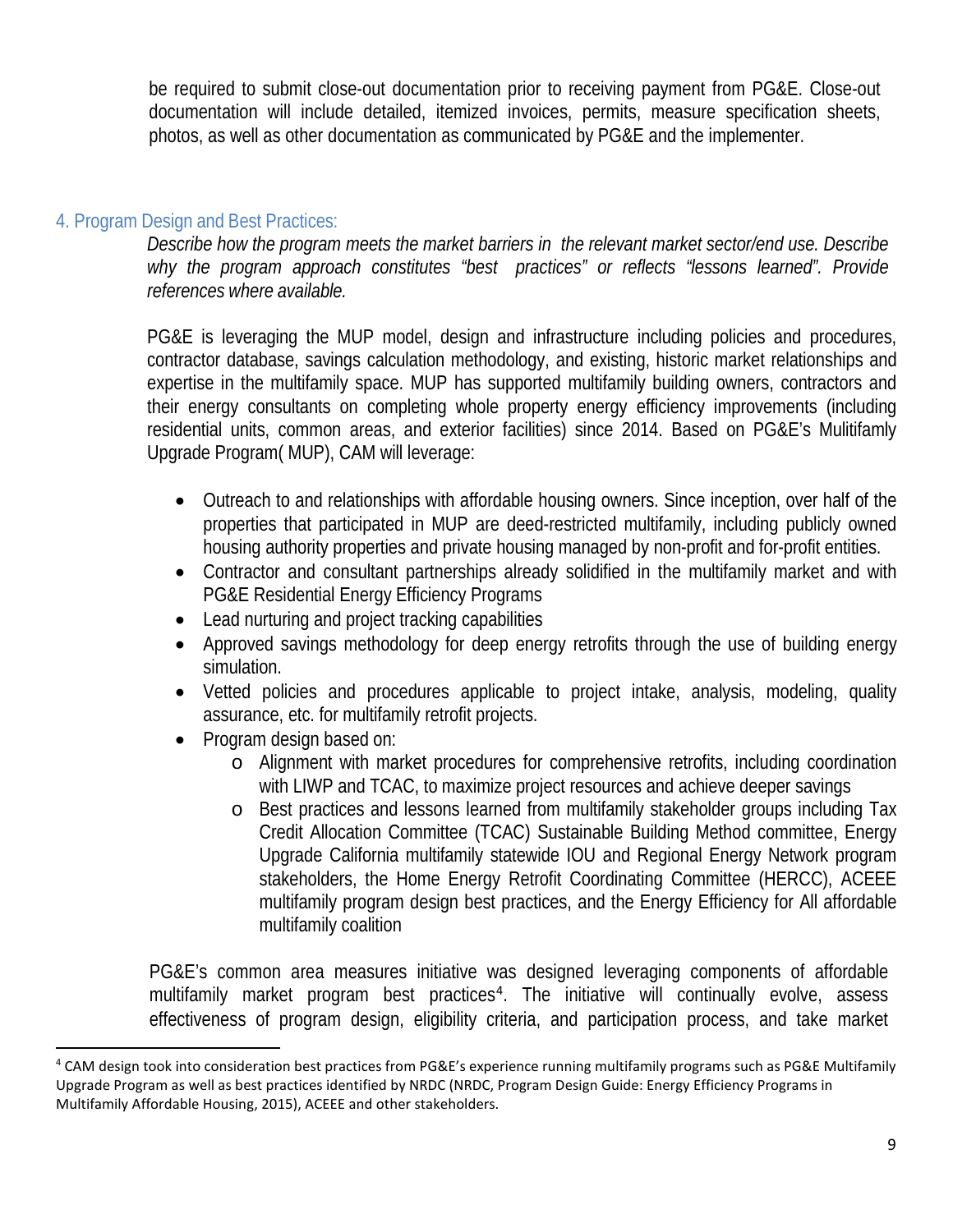be required to submit close-out documentation prior to receiving payment from PG&E. Close-out documentation will include detailed, itemized invoices, permits, measure specification sheets, photos, as well as other documentation as communicated by PG&E and the implementer.

#### 4. Program Design and Best Practices:

*Describe how the program meets the market barriers in the relevant market sector/end use. Describe why the program approach constitutes "best practices" or reflects "lessons learned". Provide references where available.*

PG&E is leveraging the MUP model, design and infrastructure including policies and procedures, contractor database, savings calculation methodology, and existing, historic market relationships and expertise in the multifamily space. MUP has supported multifamily building owners, contractors and their energy consultants on completing whole property energy efficiency improvements (including residential units, common areas, and exterior facilities) since 2014. Based on PG&E's Mulitifamly Upgrade Program( MUP), CAM will leverage:

- Outreach to and relationships with affordable housing owners. Since inception, over half of the properties that participated in MUP are deed-restricted multifamily, including publicly owned housing authority properties and private housing managed by non-profit and for-profit entities.
- Contractor and consultant partnerships already solidified in the multifamily market and with PG&E Residential Energy Efficiency Programs
- Lead nurturing and project tracking capabilities
- Approved savings methodology for deep energy retrofits through the use of building energy simulation.
- Vetted policies and procedures applicable to project intake, analysis, modeling, quality assurance, etc. for multifamily retrofit projects.
- Program design based on:
	- o Alignment with market procedures for comprehensive retrofits, including coordination with LIWP and TCAC, to maximize project resources and achieve deeper savings
	- o Best practices and lessons learned from multifamily stakeholder groups including Tax Credit Allocation Committee (TCAC) Sustainable Building Method committee, Energy Upgrade California multifamily statewide IOU and Regional Energy Network program stakeholders, the Home Energy Retrofit Coordinating Committee (HERCC), ACEEE multifamily program design best practices, and the Energy Efficiency for All affordable multifamily coalition

PG&E's common area measures initiative was designed leveraging components of affordable multifamily market program best practices<sup>4</sup>. The initiative will continually evolve, assess effectiveness of program design, eligibility criteria, and participation process, and take market

 <sup>4</sup> CAM design took into consideration best practices from PG&E's experience running multifamily programs such as PG&E Multifamily Upgrade Program as well as best practices identified by NRDC (NRDC, Program Design Guide: Energy Efficiency Programs in Multifamily Affordable Housing, 2015), ACEEE and other stakeholders.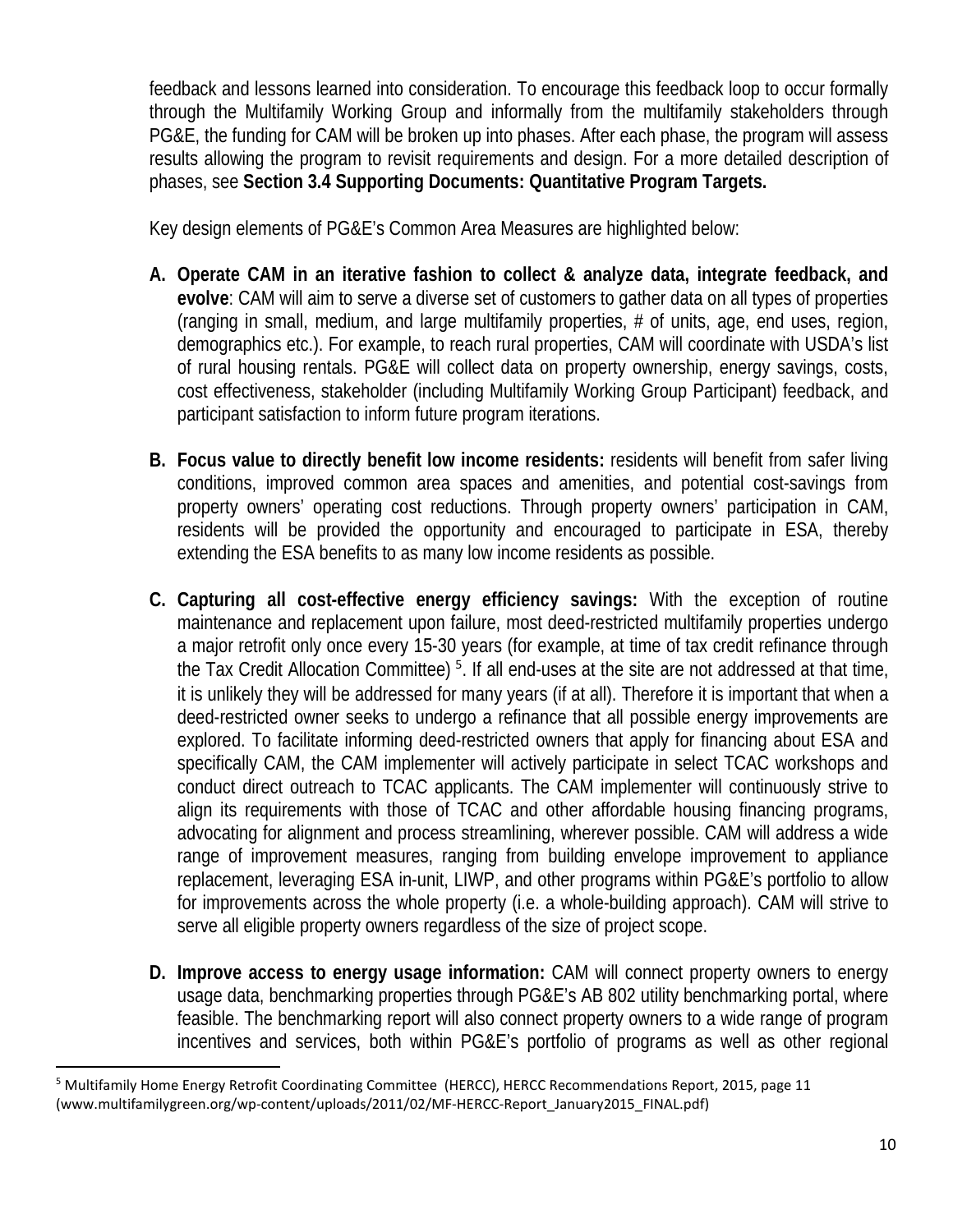feedback and lessons learned into consideration. To encourage this feedback loop to occur formally through the Multifamily Working Group and informally from the multifamily stakeholders through PG&E, the funding for CAM will be broken up into phases. After each phase, the program will assess results allowing the program to revisit requirements and design. For a more detailed description of phases, see **Section 3.4 Supporting Documents: Quantitative Program Targets.**

Key design elements of PG&E's Common Area Measures are highlighted below:

- **A. Operate CAM in an iterative fashion to collect & analyze data, integrate feedback, and evolve**: CAM will aim to serve a diverse set of customers to gather data on all types of properties (ranging in small, medium, and large multifamily properties, # of units, age, end uses, region, demographics etc.). For example, to reach rural properties, CAM will coordinate with USDA's list of rural housing rentals. PG&E will collect data on property ownership, energy savings, costs, cost effectiveness, stakeholder (including Multifamily Working Group Participant) feedback, and participant satisfaction to inform future program iterations.
- **B. Focus value to directly benefit low income residents:** residents will benefit from safer living conditions, improved common area spaces and amenities, and potential cost-savings from property owners' operating cost reductions. Through property owners' participation in CAM, residents will be provided the opportunity and encouraged to participate in ESA, thereby extending the ESA benefits to as many low income residents as possible.
- **C. Capturing all cost-effective energy efficiency savings:** With the exception of routine maintenance and replacement upon failure, most deed-restricted multifamily properties undergo a major retrofit only once every 15-30 years (for example, at time of tax credit refinance through the Tax Credit Allocation Committee)<sup>5</sup>. If all end-uses at the site are not addressed at that time, it is unlikely they will be addressed for many years (if at all). Therefore it is important that when a deed-restricted owner seeks to undergo a refinance that all possible energy improvements are explored. To facilitate informing deed-restricted owners that apply for financing about ESA and specifically CAM, the CAM implementer will actively participate in select TCAC workshops and conduct direct outreach to TCAC applicants. The CAM implementer will continuously strive to align its requirements with those of TCAC and other affordable housing financing programs, advocating for alignment and process streamlining, wherever possible. CAM will address a wide range of improvement measures, ranging from building envelope improvement to appliance replacement, leveraging ESA in-unit, LIWP, and other programs within PG&E's portfolio to allow for improvements across the whole property (i.e. a whole-building approach). CAM will strive to serve all eligible property owners regardless of the size of project scope.
- **D. Improve access to energy usage information:** CAM will connect property owners to energy usage data, benchmarking properties through PG&E's AB 802 utility benchmarking portal, where feasible. The benchmarking report will also connect property owners to a wide range of program incentives and services, both within PG&E's portfolio of programs as well as other regional

 <sup>5</sup> Multifamily Home Energy Retrofit Coordinating Committee (HERCC), HERCC Recommendations Report, 2015, page 11 (www.multifamilygreen.org/wp-content/uploads/2011/02/MF-HERCC-Report\_January2015\_FINAL.pdf)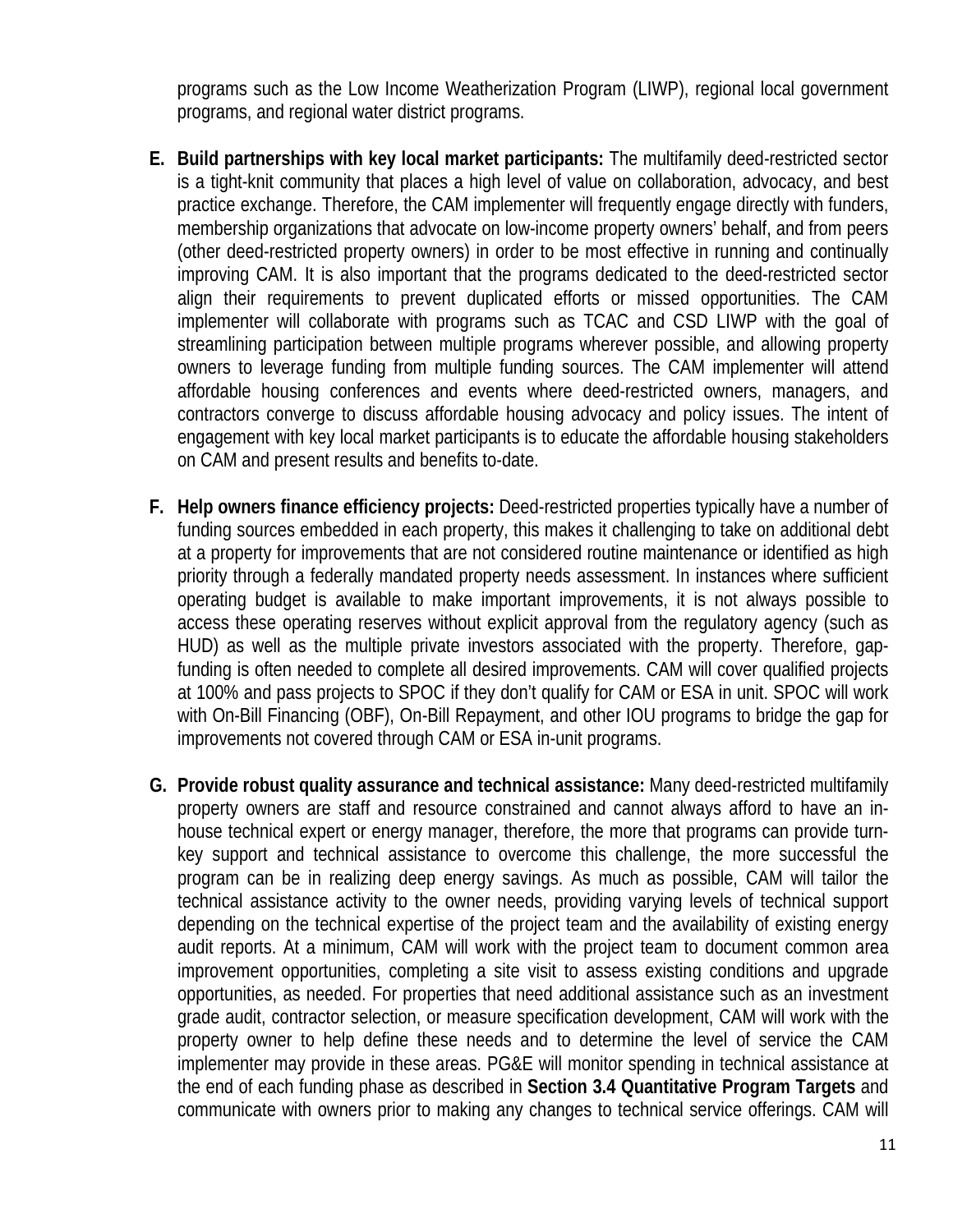programs such as the Low Income Weatherization Program (LIWP), regional local government programs, and regional water district programs.

- **E. Build partnerships with key local market participants:** The multifamily deed-restricted sector is a tight-knit community that places a high level of value on collaboration, advocacy, and best practice exchange. Therefore, the CAM implementer will frequently engage directly with funders, membership organizations that advocate on low-income property owners' behalf, and from peers (other deed-restricted property owners) in order to be most effective in running and continually improving CAM. It is also important that the programs dedicated to the deed-restricted sector align their requirements to prevent duplicated efforts or missed opportunities. The CAM implementer will collaborate with programs such as TCAC and CSD LIWP with the goal of streamlining participation between multiple programs wherever possible, and allowing property owners to leverage funding from multiple funding sources. The CAM implementer will attend affordable housing conferences and events where deed-restricted owners, managers, and contractors converge to discuss affordable housing advocacy and policy issues. The intent of engagement with key local market participants is to educate the affordable housing stakeholders on CAM and present results and benefits to-date.
- **F. Help owners finance efficiency projects:** Deed-restricted properties typically have a number of funding sources embedded in each property, this makes it challenging to take on additional debt at a property for improvements that are not considered routine maintenance or identified as high priority through a federally mandated property needs assessment. In instances where sufficient operating budget is available to make important improvements, it is not always possible to access these operating reserves without explicit approval from the regulatory agency (such as HUD) as well as the multiple private investors associated with the property. Therefore, gapfunding is often needed to complete all desired improvements. CAM will cover qualified projects at 100% and pass projects to SPOC if they don't qualify for CAM or ESA in unit. SPOC will work with On-Bill Financing (OBF), On-Bill Repayment, and other IOU programs to bridge the gap for improvements not covered through CAM or ESA in-unit programs.
- **G. Provide robust quality assurance and technical assistance:** Many deed-restricted multifamily property owners are staff and resource constrained and cannot always afford to have an inhouse technical expert or energy manager, therefore, the more that programs can provide turnkey support and technical assistance to overcome this challenge, the more successful the program can be in realizing deep energy savings. As much as possible, CAM will tailor the technical assistance activity to the owner needs, providing varying levels of technical support depending on the technical expertise of the project team and the availability of existing energy audit reports. At a minimum, CAM will work with the project team to document common area improvement opportunities, completing a site visit to assess existing conditions and upgrade opportunities, as needed. For properties that need additional assistance such as an investment grade audit, contractor selection, or measure specification development, CAM will work with the property owner to help define these needs and to determine the level of service the CAM implementer may provide in these areas. PG&E will monitor spending in technical assistance at the end of each funding phase as described in **Section 3.4 Quantitative Program Targets** and communicate with owners prior to making any changes to technical service offerings. CAM will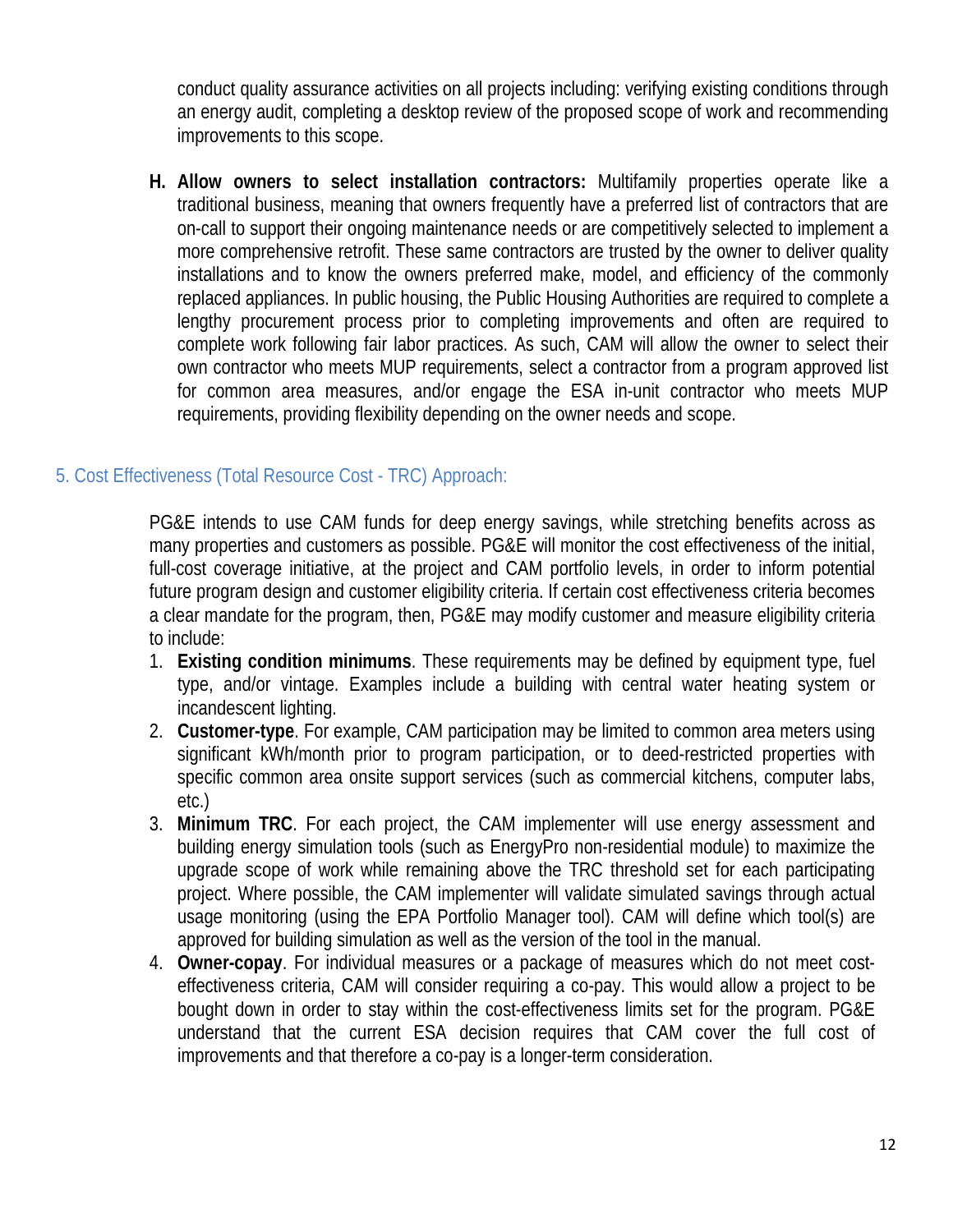conduct quality assurance activities on all projects including: verifying existing conditions through an energy audit, completing a desktop review of the proposed scope of work and recommending improvements to this scope.

**H. Allow owners to select installation contractors:** Multifamily properties operate like a traditional business, meaning that owners frequently have a preferred list of contractors that are on-call to support their ongoing maintenance needs or are competitively selected to implement a more comprehensive retrofit. These same contractors are trusted by the owner to deliver quality installations and to know the owners preferred make, model, and efficiency of the commonly replaced appliances. In public housing, the Public Housing Authorities are required to complete a lengthy procurement process prior to completing improvements and often are required to complete work following fair labor practices. As such, CAM will allow the owner to select their own contractor who meets MUP requirements, select a contractor from a program approved list for common area measures, and/or engage the ESA in-unit contractor who meets MUP requirements, providing flexibility depending on the owner needs and scope.

# 5. Cost Effectiveness (Total Resource Cost - TRC) Approach:

PG&E intends to use CAM funds for deep energy savings, while stretching benefits across as many properties and customers as possible. PG&E will monitor the cost effectiveness of the initial, full-cost coverage initiative, at the project and CAM portfolio levels, in order to inform potential future program design and customer eligibility criteria. If certain cost effectiveness criteria becomes a clear mandate for the program, then, PG&E may modify customer and measure eligibility criteria to include:

- 1. **Existing condition minimums**. These requirements may be defined by equipment type, fuel type, and/or vintage. Examples include a building with central water heating system or incandescent lighting.
- 2. **Customer-type**. For example, CAM participation may be limited to common area meters using significant kWh/month prior to program participation, or to deed-restricted properties with specific common area onsite support services (such as commercial kitchens, computer labs, etc.)
- 3. **Minimum TRC**. For each project, the CAM implementer will use energy assessment and building energy simulation tools (such as EnergyPro non-residential module) to maximize the upgrade scope of work while remaining above the TRC threshold set for each participating project. Where possible, the CAM implementer will validate simulated savings through actual usage monitoring (using the EPA Portfolio Manager tool). CAM will define which tool(s) are approved for building simulation as well as the version of the tool in the manual.
- 4. **Owner-copay**. For individual measures or a package of measures which do not meet costeffectiveness criteria, CAM will consider requiring a co-pay. This would allow a project to be bought down in order to stay within the cost-effectiveness limits set for the program. PG&E understand that the current ESA decision requires that CAM cover the full cost of improvements and that therefore a co-pay is a longer-term consideration.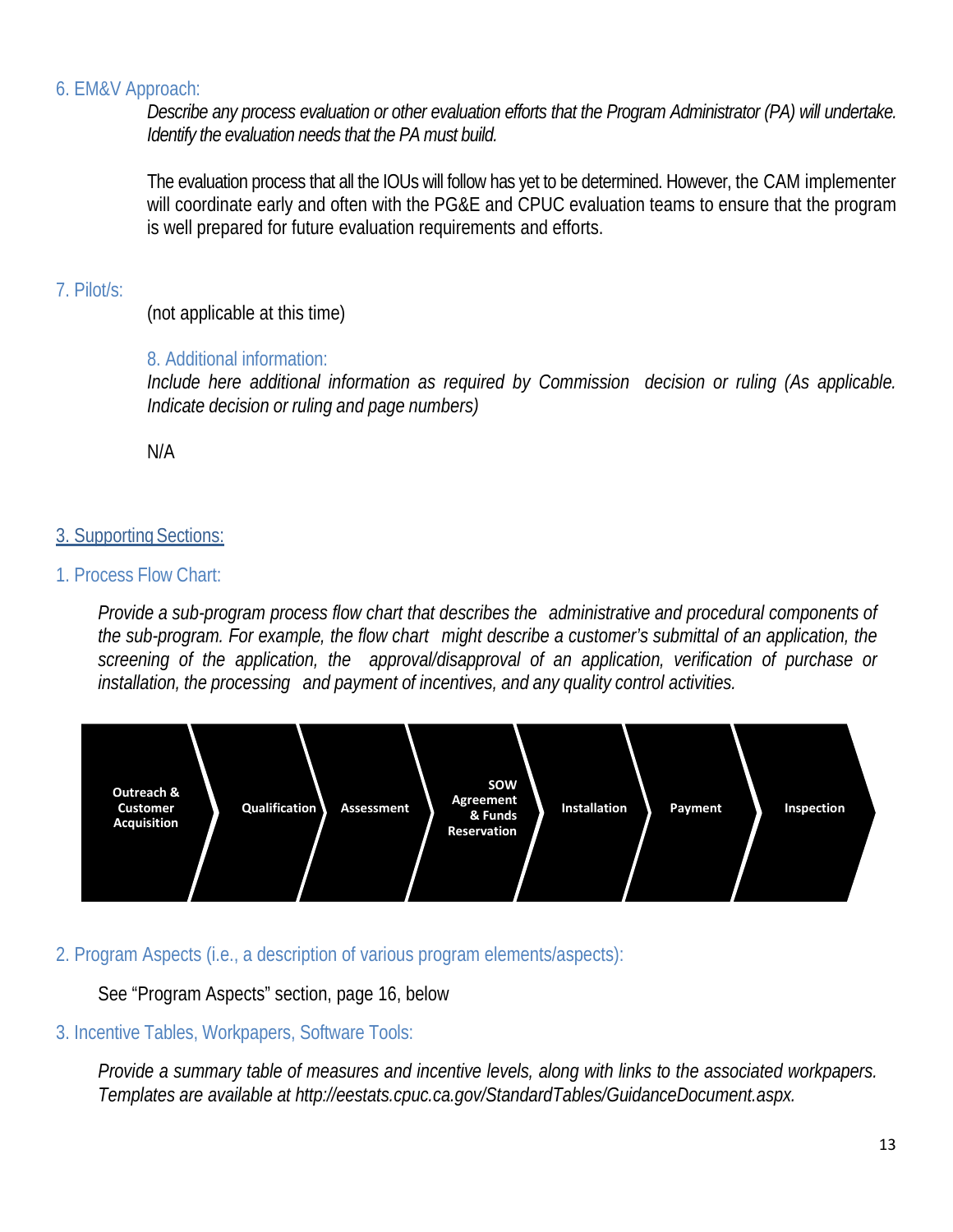#### 6. EM&V Approach:

*Describe any process evaluation or other evaluation efforts that the Program Administrator (PA) will undertake. Identify the evaluation needs that the PA must build.* 

The evaluation process that all the IOUs will follow has yet to be determined. However, the CAM implementer will coordinate early and often with the PG&E and CPUC evaluation teams to ensure that the program is well prepared for future evaluation requirements and efforts.

## 7. Pilot/s:

(not applicable at this time)

# 8. Additional information:

*Include here additional information as required by Commission decision or ruling (As applicable. Indicate decision or ruling and page numbers)* 

N/A

# 3. Supporting Sections:

# 1. Process Flow Chart:

*Provide a sub-program process flow chart that describes the administrative and procedural components of the sub-program. For example, the flow chart might describe a customer's submittal of an application, the screening of the application, the approval/disapproval of an application, verification of purchase or installation, the processing and payment of incentives, and any quality control activities.*



# 2. Program Aspects (i.e., a description of various program elements/aspects):

# See "Program Aspects" section, page 16, below

# 3. Incentive Tables, Workpapers, Software Tools:

*Provide a summary table of measures and incentive levels, along with links to the associated workpapers. Templates are available at http://eestats.cpuc.ca.gov/StandardTables/GuidanceDocument.aspx.*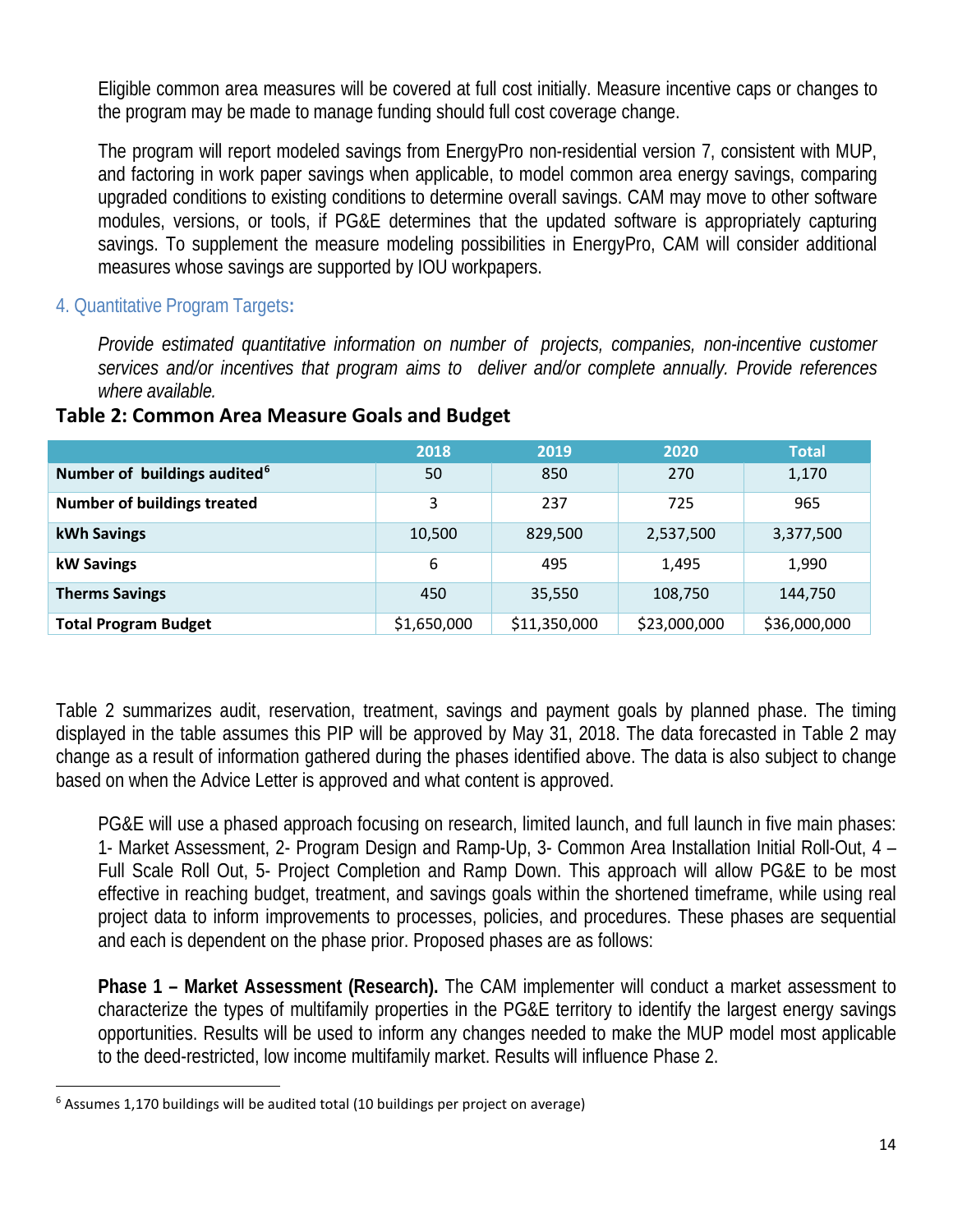Eligible common area measures will be covered at full cost initially. Measure incentive caps or changes to the program may be made to manage funding should full cost coverage change.

The program will report modeled savings from EnergyPro non-residential version 7, consistent with MUP, and factoring in work paper savings when applicable, to model common area energy savings, comparing upgraded conditions to existing conditions to determine overall savings. CAM may move to other software modules, versions, or tools, if PG&E determines that the updated software is appropriately capturing savings. To supplement the measure modeling possibilities in EnergyPro, CAM will consider additional measures whose savings are supported by IOU workpapers.

## 4. Quantitative Program Targets**:**

*Provide estimated quantitative information on number of projects, companies, non-incentive customer services and/or incentives that program aims to deliver and/or complete annually. Provide references where available.*

|                                          | 2018        | 2019         | 2020         | <b>Total</b> |
|------------------------------------------|-------------|--------------|--------------|--------------|
| Number of buildings audited <sup>6</sup> | 50          | 850          | 270          | 1,170        |
| <b>Number of buildings treated</b>       | 3           | 237          | 725          | 965          |
| kWh Savings                              | 10,500      | 829,500      | 2,537,500    | 3,377,500    |
| kW Savings                               | 6           | 495          | 1.495        | 1,990        |
| <b>Therms Savings</b>                    | 450         | 35,550       | 108,750      | 144.750      |
| <b>Total Program Budget</b>              | \$1,650,000 | \$11,350,000 | \$23,000,000 | \$36,000,000 |

#### **Table 2: Common Area Measure Goals and Budget**

Table 2 summarizes audit, reservation, treatment, savings and payment goals by planned phase. The timing displayed in the table assumes this PIP will be approved by May 31, 2018. The data forecasted in Table 2 may change as a result of information gathered during the phases identified above. The data is also subject to change based on when the Advice Letter is approved and what content is approved.

PG&E will use a phased approach focusing on research, limited launch, and full launch in five main phases: 1- Market Assessment, 2- Program Design and Ramp-Up, 3- Common Area Installation Initial Roll-Out, 4 – Full Scale Roll Out, 5- Project Completion and Ramp Down. This approach will allow PG&E to be most effective in reaching budget, treatment, and savings goals within the shortened timeframe, while using real project data to inform improvements to processes, policies, and procedures. These phases are sequential and each is dependent on the phase prior. Proposed phases are as follows:

**Phase 1 – Market Assessment (Research).** The CAM implementer will conduct a market assessment to characterize the types of multifamily properties in the PG&E territory to identify the largest energy savings opportunities. Results will be used to inform any changes needed to make the MUP model most applicable to the deed-restricted, low income multifamily market. Results will influence Phase 2.

<sup>&</sup>lt;sup>6</sup> Assumes 1,170 buildings will be audited total (10 buildings per project on average)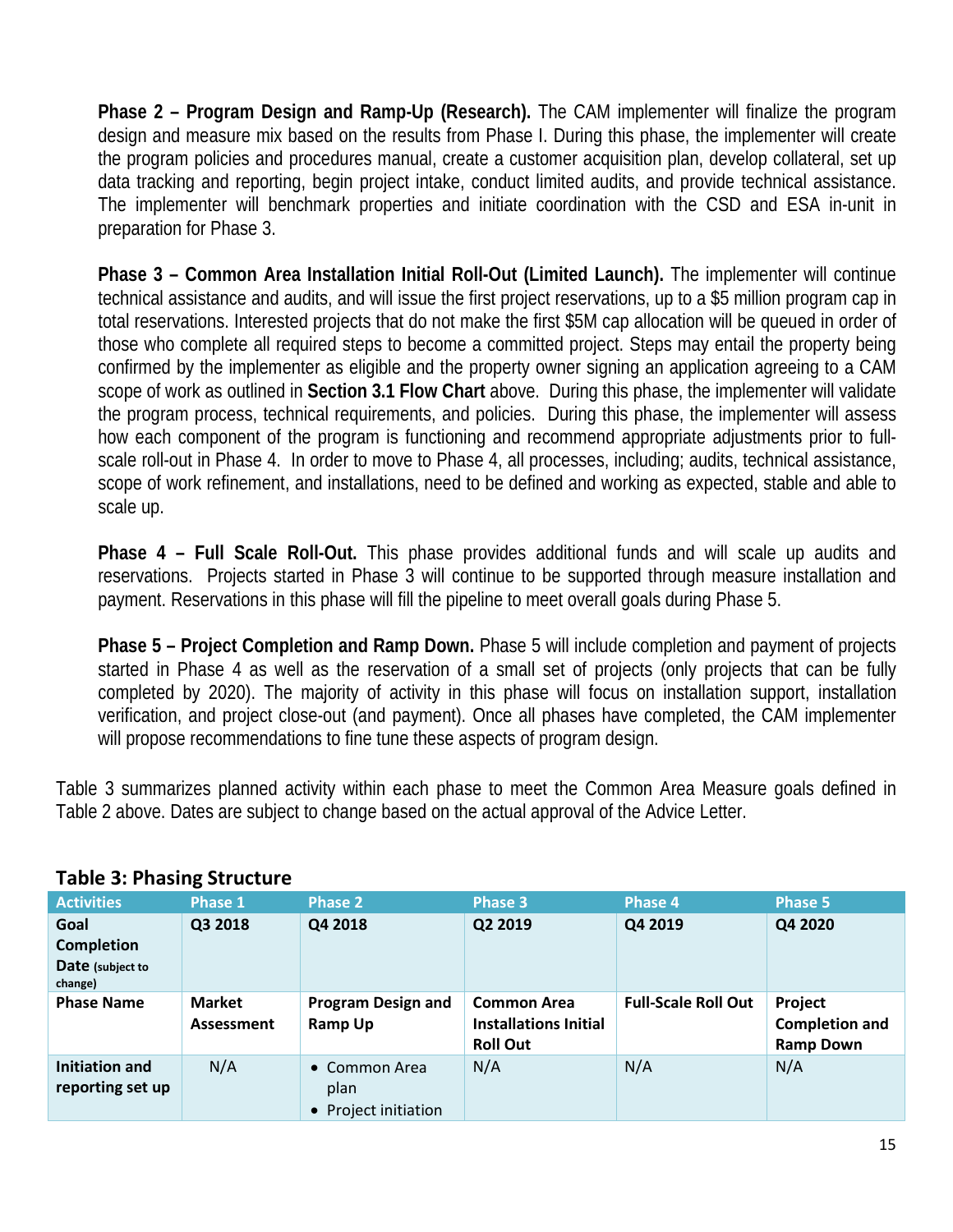**Phase 2 – Program Design and Ramp-Up (Research).** The CAM implementer will finalize the program design and measure mix based on the results from Phase I. During this phase, the implementer will create the program policies and procedures manual, create a customer acquisition plan, develop collateral, set up data tracking and reporting, begin project intake, conduct limited audits, and provide technical assistance. The implementer will benchmark properties and initiate coordination with the CSD and ESA in-unit in preparation for Phase 3.

**Phase 3 – Common Area Installation Initial Roll-Out (Limited Launch).** The implementer will continue technical assistance and audits, and will issue the first project reservations, up to a \$5 million program cap in total reservations. Interested projects that do not make the first \$5M cap allocation will be queued in order of those who complete all required steps to become a committed project. Steps may entail the property being confirmed by the implementer as eligible and the property owner signing an application agreeing to a CAM scope of work as outlined in **Section 3.1 Flow Chart** above. During this phase, the implementer will validate the program process, technical requirements, and policies. During this phase, the implementer will assess how each component of the program is functioning and recommend appropriate adjustments prior to fullscale roll-out in Phase 4. In order to move to Phase 4, all processes, including; audits, technical assistance, scope of work refinement, and installations, need to be defined and working as expected, stable and able to scale up.

**Phase 4 – Full Scale Roll-Out.** This phase provides additional funds and will scale up audits and reservations. Projects started in Phase 3 will continue to be supported through measure installation and payment. Reservations in this phase will fill the pipeline to meet overall goals during Phase 5.

**Phase 5 – Project Completion and Ramp Down.** Phase 5 will include completion and payment of projects started in Phase 4 as well as the reservation of a small set of projects (only projects that can be fully completed by 2020). The majority of activity in this phase will focus on installation support, installation verification, and project close-out (and payment). Once all phases have completed, the CAM implementer will propose recommendations to fine tune these aspects of program design.

Table 3 summarizes planned activity within each phase to meet the Common Area Measure goals defined in Table 2 above. Dates are subject to change based on the actual approval of the Advice Letter.

| <b>Activities</b>                  | Phase 1                            | <b>Phase 2</b>                                | <b>Phase 3</b>                                                        | <b>Phase 4</b>             | <b>Phase 5</b>                                       |
|------------------------------------|------------------------------------|-----------------------------------------------|-----------------------------------------------------------------------|----------------------------|------------------------------------------------------|
| Goal                               | Q3 2018                            | Q4 2018                                       | Q2 2019                                                               | Q4 2019                    | Q4 2020                                              |
| <b>Completion</b>                  |                                    |                                               |                                                                       |                            |                                                      |
| Date (subject to<br>change)        |                                    |                                               |                                                                       |                            |                                                      |
| <b>Phase Name</b>                  | <b>Market</b><br><b>Assessment</b> | <b>Program Design and</b><br>Ramp Up          | <b>Common Area</b><br><b>Installations Initial</b><br><b>Roll Out</b> | <b>Full-Scale Roll Out</b> | Project<br><b>Completion and</b><br><b>Ramp Down</b> |
| Initiation and<br>reporting set up | N/A                                | • Common Area<br>plan<br>• Project initiation | N/A                                                                   | N/A                        | N/A                                                  |

# **Table 3: Phasing Structure**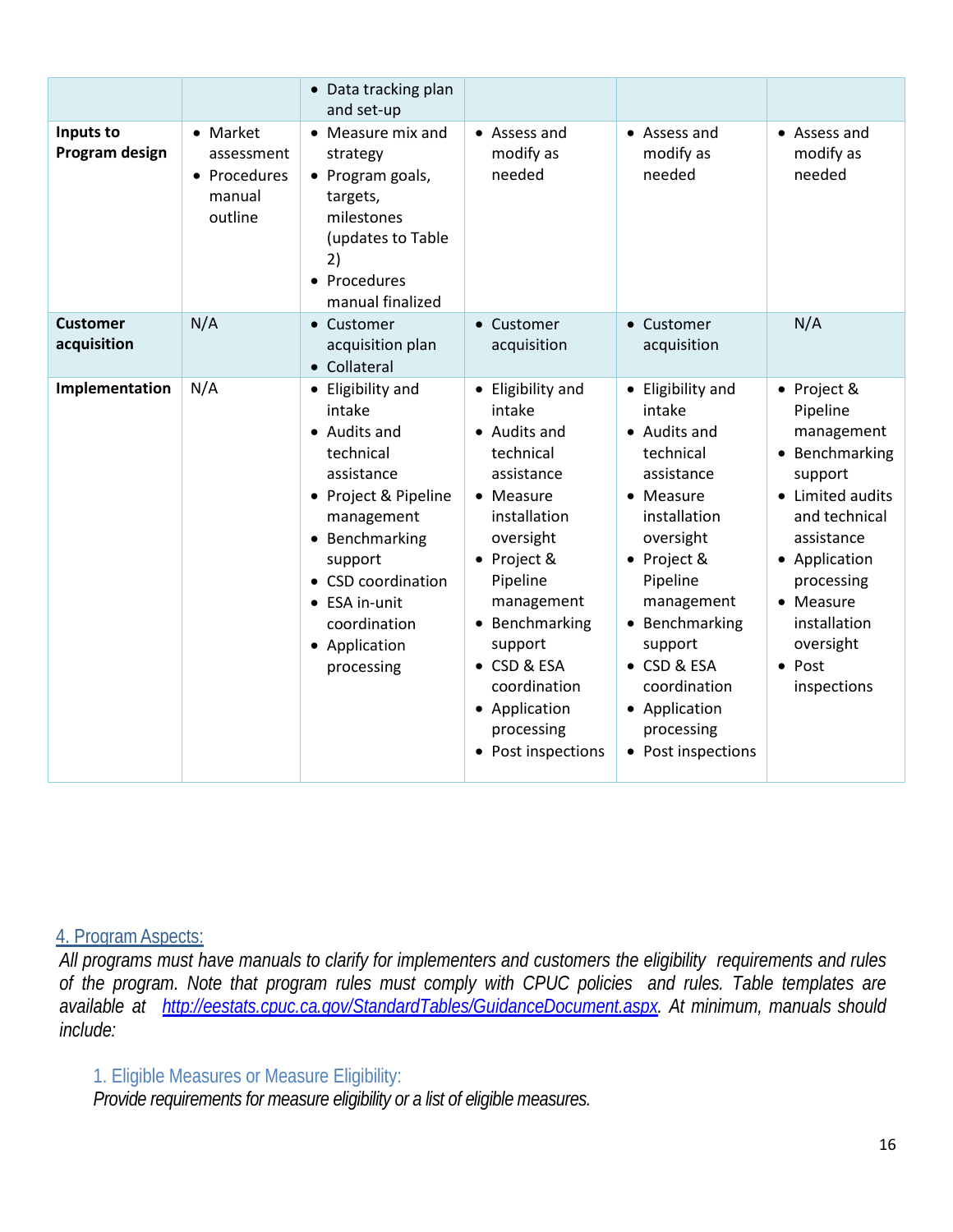|                                |                                                             | • Data tracking plan<br>and set-up                                                                                                                                                                                              |                                                                                                                                                                                                                                                                            |                                                                                                                                                                                                                                                                            |                                                                                                                                                                                                                               |
|--------------------------------|-------------------------------------------------------------|---------------------------------------------------------------------------------------------------------------------------------------------------------------------------------------------------------------------------------|----------------------------------------------------------------------------------------------------------------------------------------------------------------------------------------------------------------------------------------------------------------------------|----------------------------------------------------------------------------------------------------------------------------------------------------------------------------------------------------------------------------------------------------------------------------|-------------------------------------------------------------------------------------------------------------------------------------------------------------------------------------------------------------------------------|
| Inputs to<br>Program design    | • Market<br>assessment<br>• Procedures<br>manual<br>outline | $\bullet$ Measure mix and<br>strategy<br>• Program goals,<br>targets,<br>milestones<br>(updates to Table<br>2)<br>• Procedures<br>manual finalized                                                                              | • Assess and<br>modify as<br>needed                                                                                                                                                                                                                                        | • Assess and<br>modify as<br>needed                                                                                                                                                                                                                                        | • Assess and<br>modify as<br>needed                                                                                                                                                                                           |
| <b>Customer</b><br>acquisition | N/A                                                         | • Customer<br>acquisition plan<br>• Collateral                                                                                                                                                                                  | • Customer<br>acquisition                                                                                                                                                                                                                                                  | Customer<br>$\bullet$<br>acquisition                                                                                                                                                                                                                                       | N/A                                                                                                                                                                                                                           |
| Implementation                 | N/A                                                         | • Eligibility and<br>intake<br>• Audits and<br>technical<br>assistance<br>• Project & Pipeline<br>management<br>• Benchmarking<br>support<br>• CSD coordination<br>• ESA in-unit<br>coordination<br>• Application<br>processing | • Eligibility and<br>intake<br>• Audits and<br>technical<br>assistance<br>• Measure<br>installation<br>oversight<br>• Project &<br>Pipeline<br>management<br>• Benchmarking<br>support<br>• CSD & ESA<br>coordination<br>• Application<br>processing<br>• Post inspections | • Eligibility and<br>intake<br>• Audits and<br>technical<br>assistance<br>• Measure<br>installation<br>oversight<br>• Project &<br>Pipeline<br>management<br>• Benchmarking<br>support<br>• CSD & ESA<br>coordination<br>• Application<br>processing<br>• Post inspections | • Project &<br>Pipeline<br>management<br>Benchmarking<br>support<br>• Limited audits<br>and technical<br>assistance<br>• Application<br>processing<br>• Measure<br>installation<br>oversight<br>$\bullet$ Post<br>inspections |

#### 4. ProgramAspects:

*All programs must have manuals to clarify for implementers and customers the eligibility requirements and rules of the program. Note that program rules must comply with CPUC policies and rules. Table templates are available at http://eestats.cpuc.ca.gov/StandardTables/GuidanceDocument.aspx. At minimum, manuals should include:*

# 1. Eligible Measures or Measure Eligibility:

*Provide requirements for measure eligibility or a list of eligible measures.*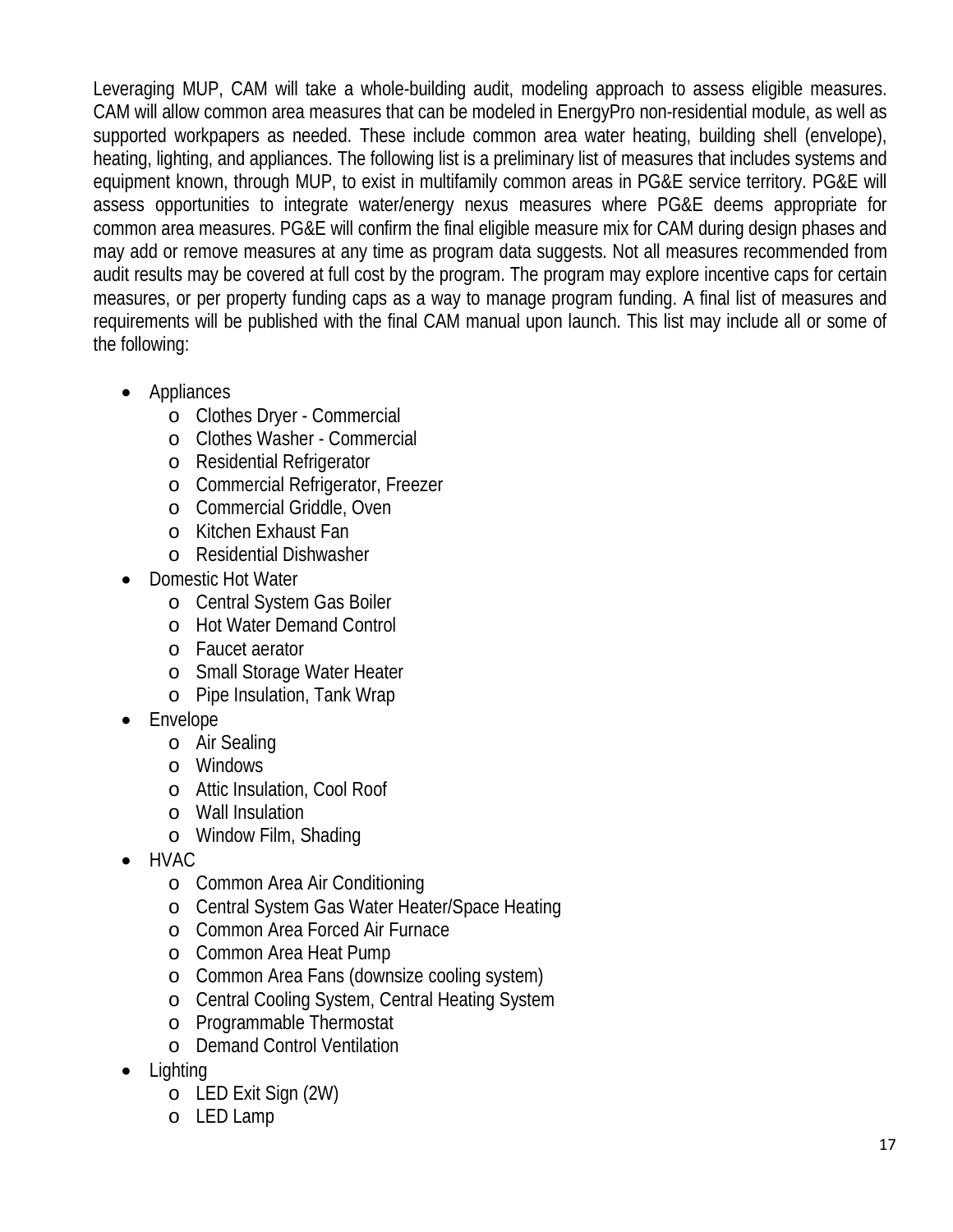Leveraging MUP, CAM will take a whole-building audit, modeling approach to assess eligible measures. CAM will allow common area measures that can be modeled in EnergyPro non-residential module, as well as supported workpapers as needed. These include common area water heating, building shell (envelope), heating, lighting, and appliances. The following list is a preliminary list of measures that includes systems and equipment known, through MUP, to exist in multifamily common areas in PG&E service territory. PG&E will assess opportunities to integrate water/energy nexus measures where PG&E deems appropriate for common area measures. PG&E will confirm the final eligible measure mix for CAM during design phases and may add or remove measures at any time as program data suggests. Not all measures recommended from audit results may be covered at full cost by the program. The program may explore incentive caps for certain measures, or per property funding caps as a way to manage program funding. A final list of measures and requirements will be published with the final CAM manual upon launch. This list may include all or some of the following:

- Appliances
	- o Clothes Dryer Commercial
	- o Clothes Washer Commercial
	- o Residential Refrigerator
	- o Commercial Refrigerator, Freezer
	- o Commercial Griddle, Oven
	- o Kitchen Exhaust Fan
	- o Residential Dishwasher
- Domestic Hot Water
	- o Central System Gas Boiler
	- o Hot Water Demand Control
	- o Faucet aerator
	- o Small Storage Water Heater
	- o Pipe Insulation, Tank Wrap
- Envelope
	- o Air Sealing
	- o Windows
	- o Attic Insulation, Cool Roof
	- o Wall Insulation
	- o Window Film, Shading
- HVAC
	- o Common Area Air Conditioning
	- o Central System Gas Water Heater/Space Heating
	- o Common Area Forced Air Furnace
	- o Common Area Heat Pump
	- o Common Area Fans (downsize cooling system)
	- o Central Cooling System, Central Heating System
	- o Programmable Thermostat
	- o Demand Control Ventilation
- Lighting
	- o LED Exit Sign (2W)
	- o LED Lamp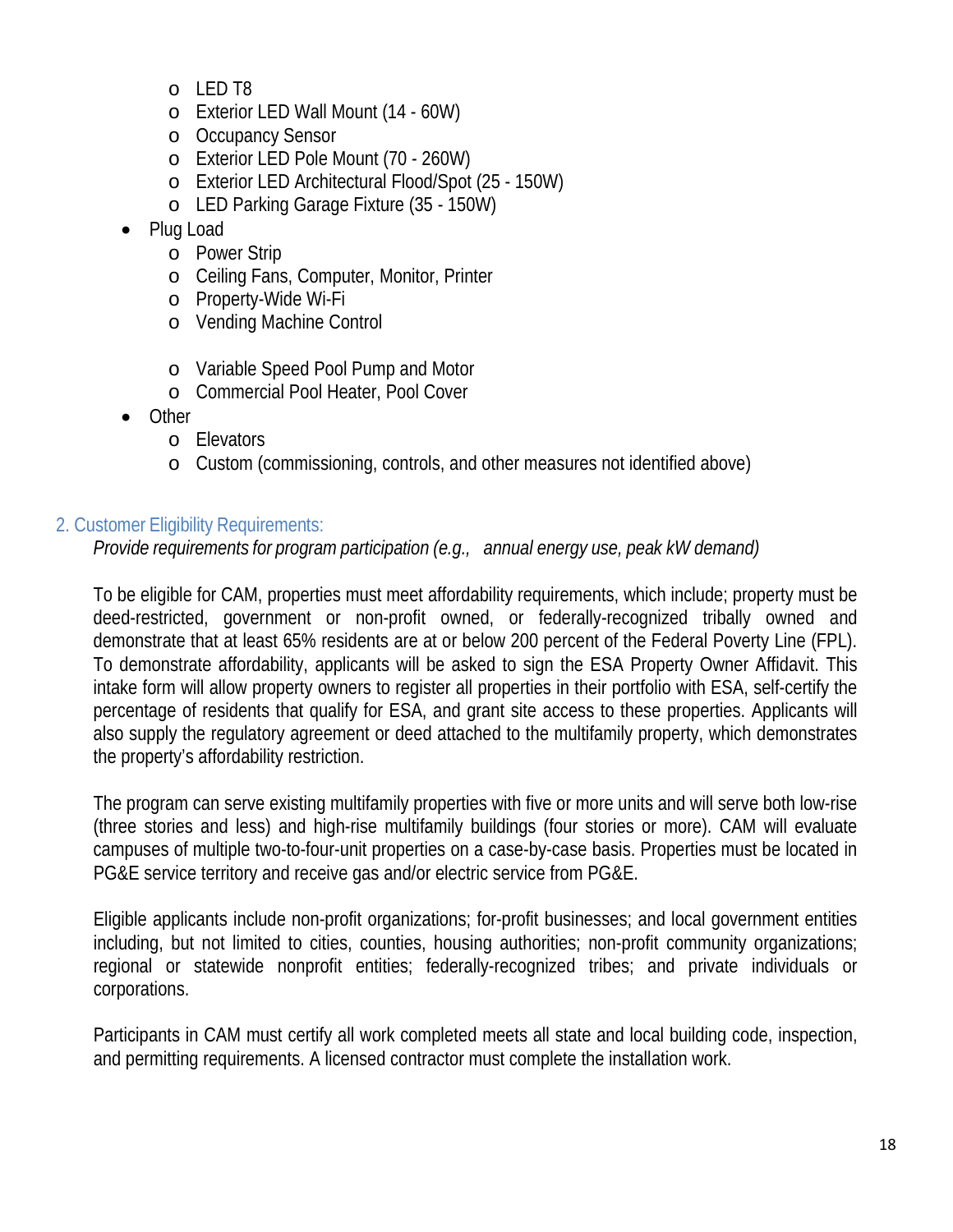- o LED T8
- o Exterior LED Wall Mount (14 60W)
- o Occupancy Sensor
- o Exterior LED Pole Mount (70 260W)
- o Exterior LED Architectural Flood/Spot (25 150W)
- o LED Parking Garage Fixture (35 150W)
- Plug Load
	- o Power Strip
	- o Ceiling Fans, Computer, Monitor, Printer
	- o Property-Wide Wi-Fi
	- o Vending Machine Control
	- o Variable Speed Pool Pump and Motor
	- o Commercial Pool Heater, Pool Cover
- Other
	- o Elevators
	- o Custom (commissioning, controls, and other measures not identified above)

#### 2. Customer Eligibility Requirements:

*Provide requirements for program participation (e.g., annual energy use, peak kW demand)*

To be eligible for CAM, properties must meet affordability requirements, which include; property must be deed-restricted, government or non-profit owned, or federally-recognized tribally owned and demonstrate that at least 65% residents are at or below 200 percent of the Federal Poverty Line (FPL). To demonstrate affordability, applicants will be asked to sign the ESA Property Owner Affidavit. This intake form will allow property owners to register all properties in their portfolio with ESA, self-certify the percentage of residents that qualify for ESA, and grant site access to these properties. Applicants will also supply the regulatory agreement or deed attached to the multifamily property, which demonstrates the property's affordability restriction.

The program can serve existing multifamily properties with five or more units and will serve both low-rise (three stories and less) and high-rise multifamily buildings (four stories or more). CAM will evaluate campuses of multiple two-to-four-unit properties on a case-by-case basis. Properties must be located in PG&E service territory and receive gas and/or electric service from PG&E.

Eligible applicants include non-profit organizations; for-profit businesses; and local government entities including, but not limited to cities, counties, housing authorities; non-profit community organizations; regional or statewide nonprofit entities; federally-recognized tribes; and private individuals or corporations.

Participants in CAM must certify all work completed meets all state and local building code, inspection, and permitting requirements. A licensed contractor must complete the installation work.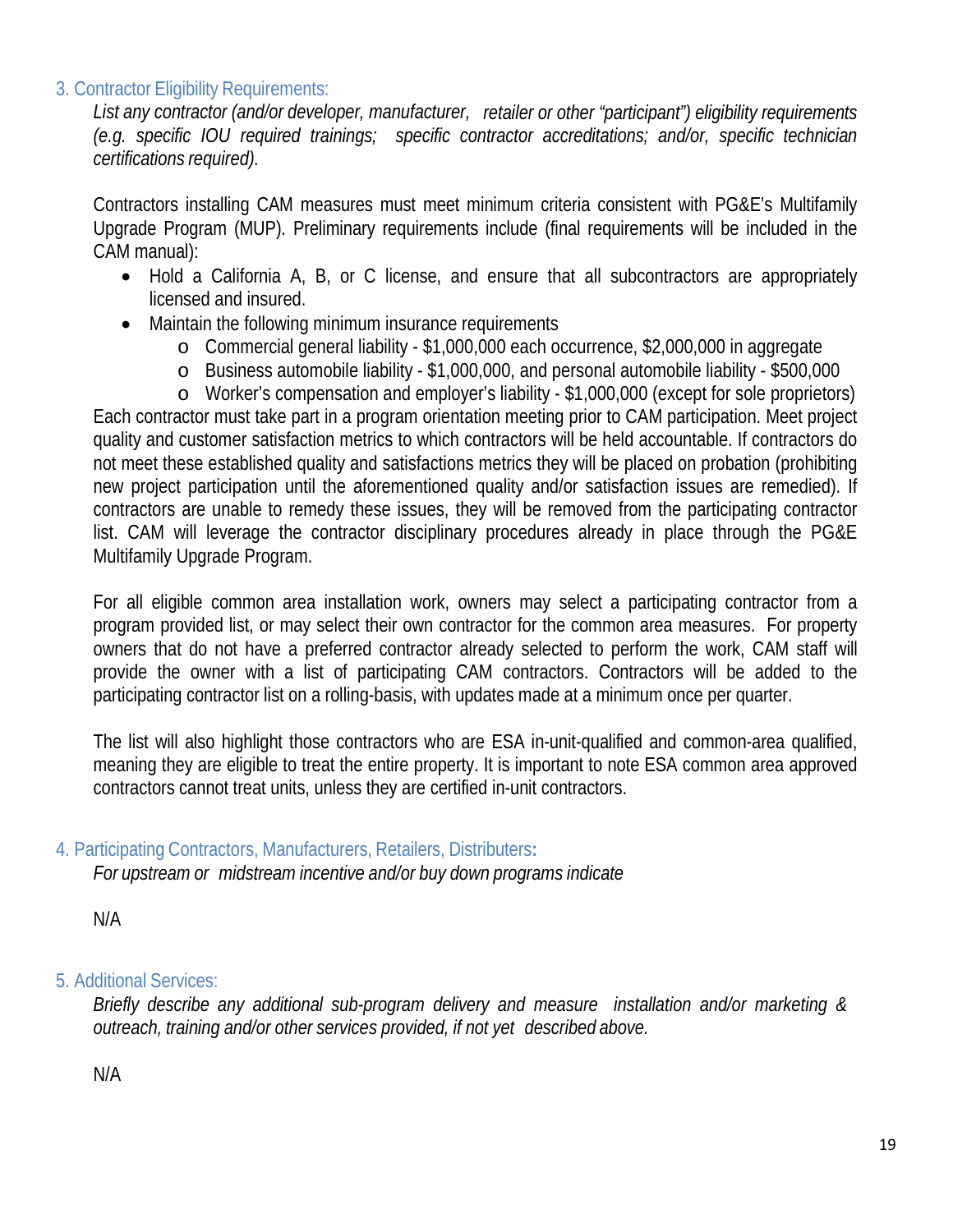#### 3. Contractor Eligibility Requirements:

*List any contractor (and/or developer, manufacturer, retailer or other "participant") eligibility requirements (e.g. specific IOU required trainings; specific contractor accreditations; and/or, specific technician certifications required).*

Contractors installing CAM measures must meet minimum criteria consistent with PG&E's Multifamily Upgrade Program (MUP). Preliminary requirements include (final requirements will be included in the CAM manual):

- Hold a California A, B, or C license, and ensure that all subcontractors are appropriately licensed and insured.
- Maintain the following minimum insurance requirements
	- o Commercial general liability \$1,000,000 each occurrence, \$2,000,000 in aggregate
	- o Business automobile liability \$1,000,000, and personal automobile liability \$500,000
	- o Worker's compensation and employer's liability \$1,000,000 (except for sole proprietors)

Each contractor must take part in a program orientation meeting prior to CAM participation. Meet project quality and customer satisfaction metrics to which contractors will be held accountable. If contractors do not meet these established quality and satisfactions metrics they will be placed on probation (prohibiting new project participation until the aforementioned quality and/or satisfaction issues are remedied). If contractors are unable to remedy these issues, they will be removed from the participating contractor list. CAM will leverage the contractor disciplinary procedures already in place through the PG&E Multifamily Upgrade Program.

For all eligible common area installation work, owners may select a participating contractor from a program provided list, or may select their own contractor for the common area measures. For property owners that do not have a preferred contractor already selected to perform the work, CAM staff will provide the owner with a list of participating CAM contractors. Contractors will be added to the participating contractor list on a rolling-basis, with updates made at a minimum once per quarter.

The list will also highlight those contractors who are ESA in-unit-qualified and common-area qualified, meaning they are eligible to treat the entire property. It is important to note ESA common area approved contractors cannot treat units, unless they are certified in-unit contractors.

4. Participating Contractors, Manufacturers, Retailers, Distributers**:**

*For upstream or midstream incentive and/or buy down programs indicate*

N/A

#### 5. Additional Services:

*Briefly describe any additional sub-program delivery and measure installation and/or marketing & outreach, training and/or other services provided, if not yet described above.*

N/A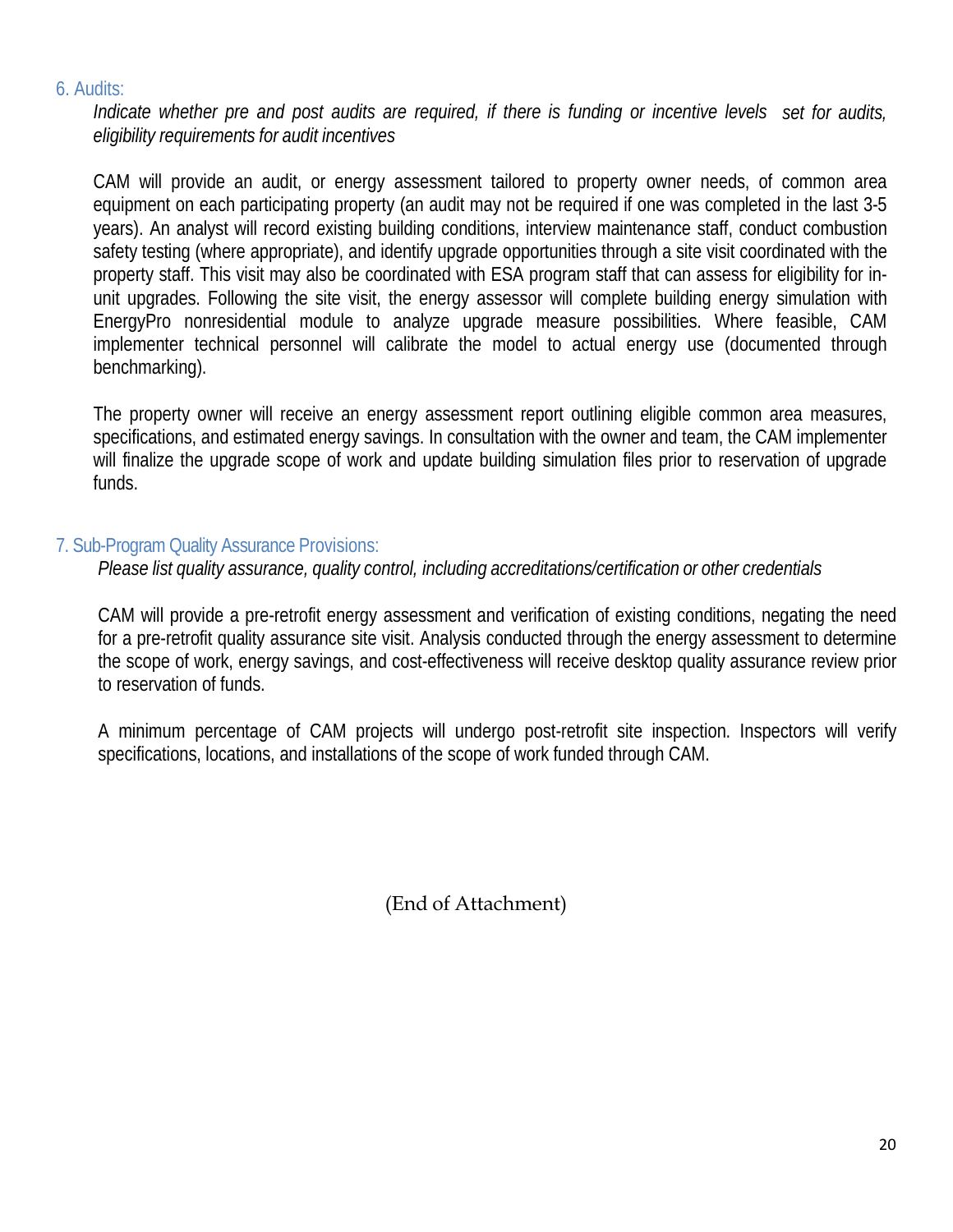#### 6. Audits:

Indicate whether pre and post audits are required, if there is funding or incentive levels set for audits, *eligibility requirements for audit incentives*

CAM will provide an audit, or energy assessment tailored to property owner needs, of common area equipment on each participating property (an audit may not be required if one was completed in the last 3-5 years). An analyst will record existing building conditions, interview maintenance staff, conduct combustion safety testing (where appropriate), and identify upgrade opportunities through a site visit coordinated with the property staff. This visit may also be coordinated with ESA program staff that can assess for eligibility for inunit upgrades. Following the site visit, the energy assessor will complete building energy simulation with EnergyPro nonresidential module to analyze upgrade measure possibilities. Where feasible, CAM implementer technical personnel will calibrate the model to actual energy use (documented through benchmarking).

The property owner will receive an energy assessment report outlining eligible common area measures, specifications, and estimated energy savings. In consultation with the owner and team, the CAM implementer will finalize the upgrade scope of work and update building simulation files prior to reservation of upgrade funds.

## 7. Sub-Program Quality Assurance Provisions:

*Please list quality assurance, quality control, including accreditations/certification or other credentials*

CAM will provide a pre-retrofit energy assessment and verification of existing conditions, negating the need for a pre-retrofit quality assurance site visit. Analysis conducted through the energy assessment to determine the scope of work, energy savings, and cost-effectiveness will receive desktop quality assurance review prior to reservation of funds.

A minimum percentage of CAM projects will undergo post-retrofit site inspection. Inspectors will verify specifications, locations, and installations of the scope of work funded through CAM.

(End of Attachment)